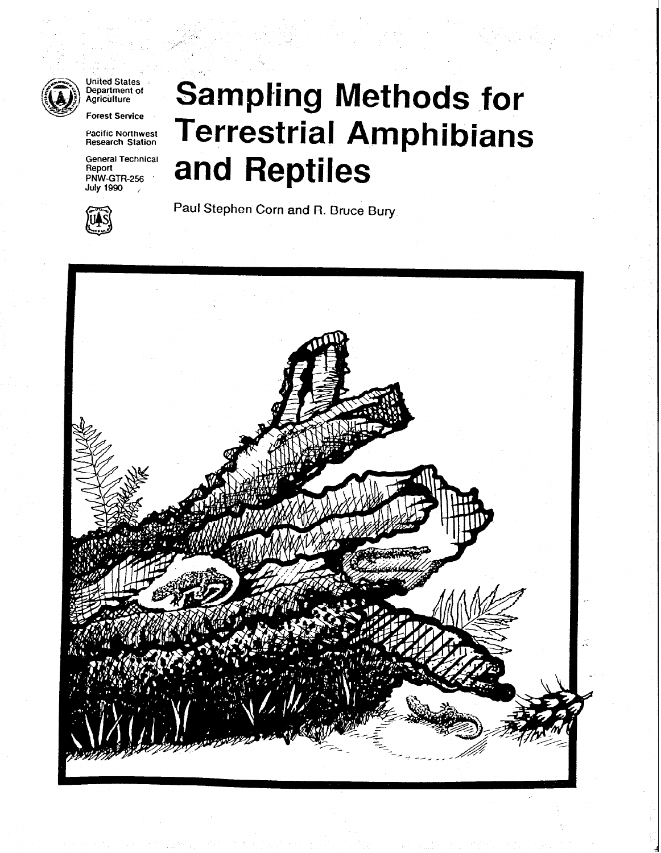

United States Department of Agriculture

Forest Service

Pacific Northwest Research Station

, 1935<br>, 1946<br>Karl , 19

General Technical Report PNW-GTR-256 July 1990 /



# Sampling Methods for **Terrestrial Amphibians** and Reptiles

Paul Stephen Corn and R. Bruce Bury

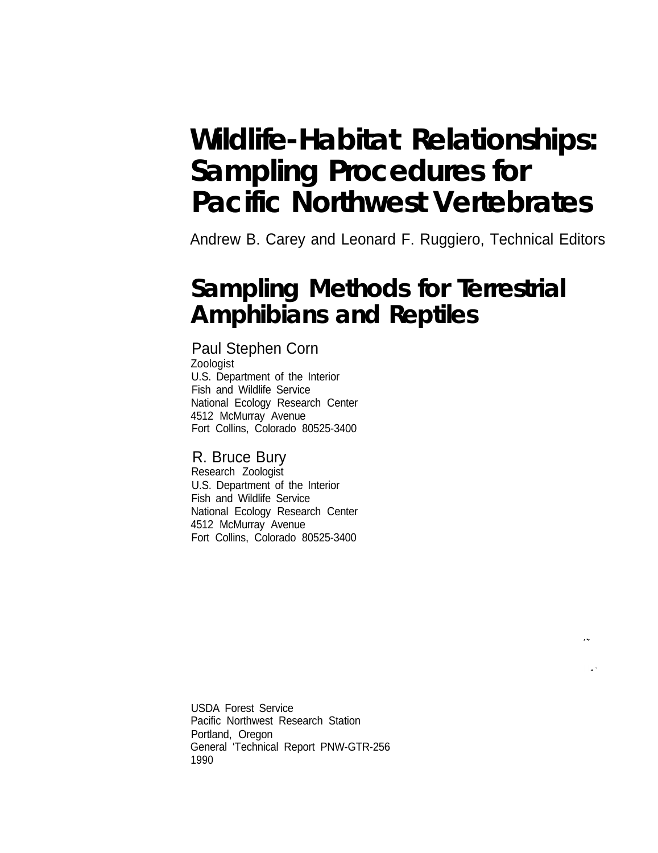## **Wildlife-Habitat Relationships: Sampling Procedures for Pacific Northwest Vertebrates**

Andrew B. Carey and Leonard F. Ruggiero, Technical Editors

 $\ddot{\phantom{a}}$ 

## **Sampling Methods for Terrestrial Amphibians and Reptiles**

Paul Stephen Corn Zoologist U.S. Department of the Interior Fish and Wildlife Service National Ecology Research Center 4512 McMurray Avenue Fort Collins, Colorado 80525-3400

## R. Bruce Bury

Research Zoologist U.S. Department of the Interior Fish and Wildlife Service National Ecology Research Center 4512 McMurray Avenue Fort Collins, Colorado 80525-3400

USDA Forest Service Pacific Northwest Research Station Portland, Oregon General 'Technical Report PNW-GTR-256 1990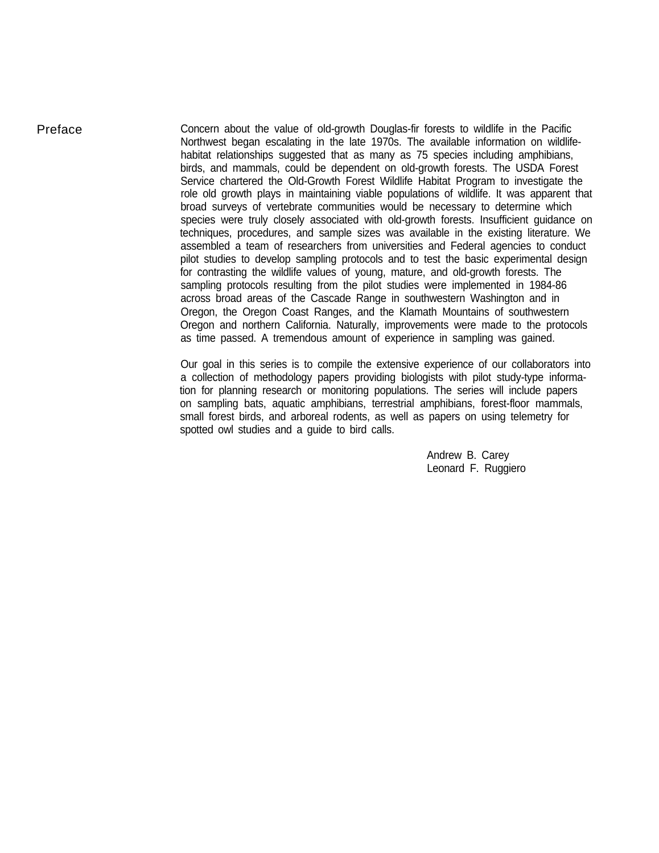Preface Concern about the value of old-growth Douglas-fir forests to wildlife in the Pacific Northwest began escalating in the late 1970s. The available information on wildlifehabitat relationships suggested that as many as 75 species including amphibians, birds, and mammals, could be dependent on old-growth forests. The USDA Forest Service chartered the Old-Growth Forest Wildlife Habitat Program to investigate the role old growth plays in maintaining viable populations of wildlife. It was apparent that broad surveys of vertebrate communities would be necessary to determine which species were truly closely associated with old-growth forests. Insufficient guidance on techniques, procedures, and sample sizes was available in the existing literature. We assembled a team of researchers from universities and Federal agencies to conduct pilot studies to develop sampling protocols and to test the basic experimental design for contrasting the wildlife values of young, mature, and old-growth forests. The sampling protocols resulting from the pilot studies were implemented in 1984-86 across broad areas of the Cascade Range in southwestern Washington and in Oregon, the Oregon Coast Ranges, and the Klamath Mountains of southwestern Oregon and northern California. Naturally, improvements were made to the protocols as time passed. A tremendous amount of experience in sampling was gained.

> Our goal in this series is to compile the extensive experience of our collaborators into a collection of methodology papers providing biologists with pilot study-type information for planning research or monitoring populations. The series will include papers on sampling bats, aquatic amphibians, terrestrial amphibians, forest-floor mammals, small forest birds, and arboreal rodents, as well as papers on using telemetry for spotted owl studies and a guide to bird calls.

> > Andrew B. Carey Leonard F. Ruggiero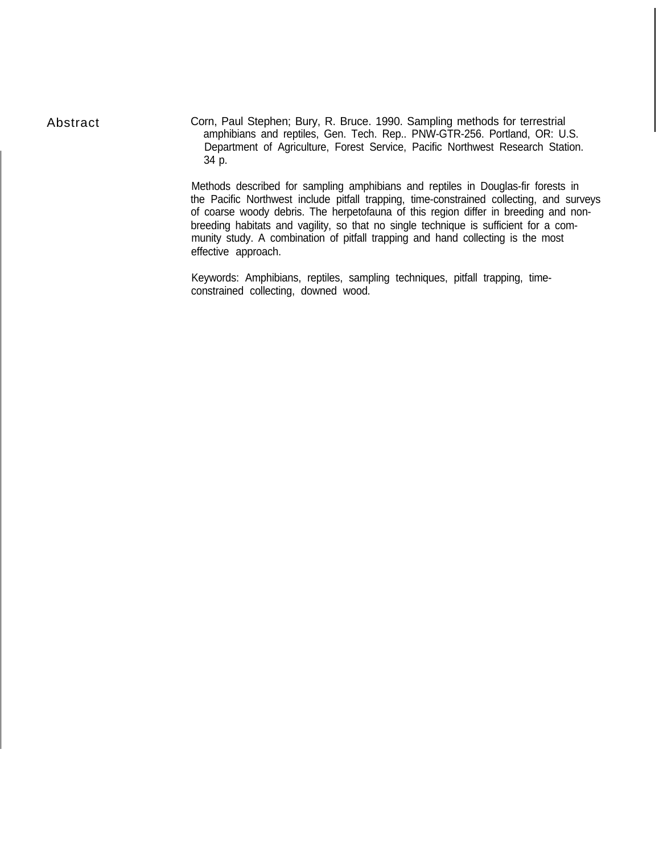Abstract Corn, Paul Stephen; Bury, R. Bruce. 1990. Sampling methods for terrestrial amphibians and reptiles, Gen. Tech. Rep.. PNW-GTR-256. Portland, OR: U.S. Department of Agriculture, Forest Service, Pacific Northwest Research Station. 34 p.

> Methods described for sampling amphibians and reptiles in Douglas-fir forests in the Pacific Northwest include pitfall trapping, time-constrained collecting, and surveys of coarse woody debris. The herpetofauna of this region differ in breeding and nonbreeding habitats and vagility, so that no single technique is sufficient for a community study. A combination of pitfall trapping and hand collecting is the most effective approach.

Keywords: Amphibians, reptiles, sampling techniques, pitfall trapping, timeconstrained collecting, downed wood.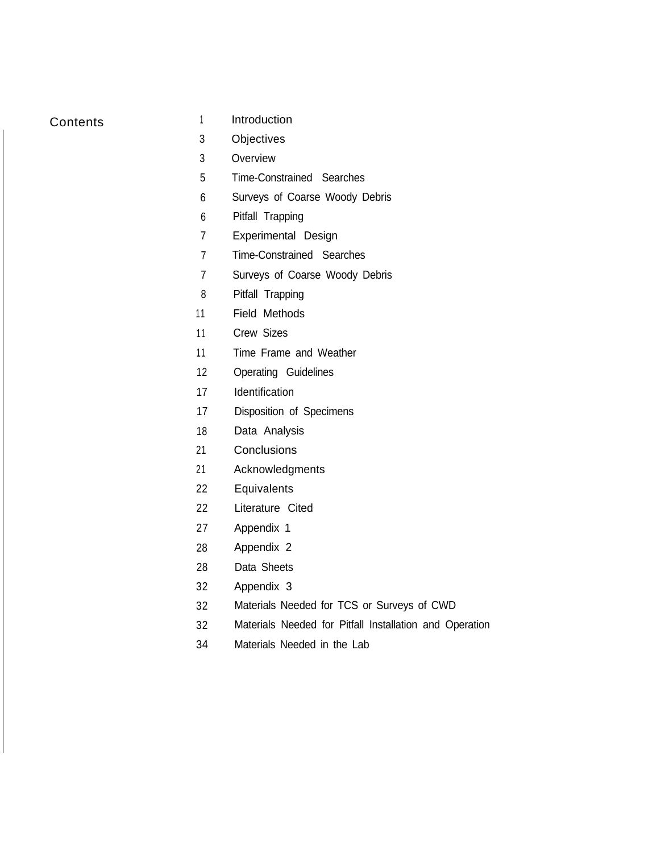- Contents 1 Introduction
	- Objectives
	- Overview
	- Time-Constrained Searches
	- Surveys of Coarse Woody Debris
	- Pitfall Trapping
	- Experimental Design
	- Time-Constrained Searches
	- Surveys of Coarse Woody Debris
	- Pitfall Trapping
	- Field Methods
	- Crew Sizes
	- Time Frame and Weather
	- Operating Guidelines
	- Identification
	- Disposition of Specimens
	- Data Analysis
	- Conclusions
	- Acknowledgments
	- Equivalents
	- Literature Cited
	- Appendix 1
	- Appendix 2
	- Data Sheets
	- Appendix 3
	- Materials Needed for TCS or Surveys of CWD
	- Materials Needed for Pitfall Installation and Operation
	- Materials Needed in the Lab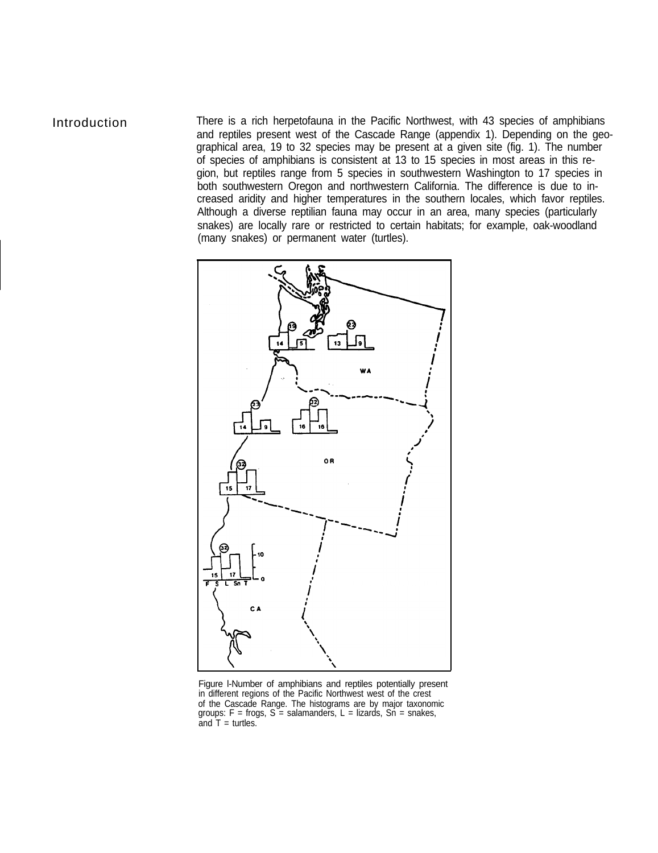Introduction There is a rich herpetofauna in the Pacific Northwest, with 43 species of amphibians and reptiles present west of the Cascade Range (appendix 1). Depending on the geographical area, 19 to 32 species may be present at a given site (fig. 1). The number of species of amphibians is consistent at 13 to 15 species in most areas in this region, but reptiles range from 5 species in southwestern Washington to 17 species in both southwestern Oregon and northwestern California. The difference is due to increased aridity and higher temperatures in the southern locales, which favor reptiles. Although a diverse reptilian fauna may occur in an area, many species (particularly snakes) are locally rare or restricted to certain habitats; for example, oak-woodland (many snakes) or permanent water (turtles).



Figure l-Number of amphibians and reptiles potentially present in different regions of the Pacific Northwest west of the crest of the Cascade Range. The histograms are by major taxonomic groups:  $F = \text{frogs}, S = \text{salamanders}, L = \text{lizards}, Sn = \text{snakes},$ and  $T =$  turtles.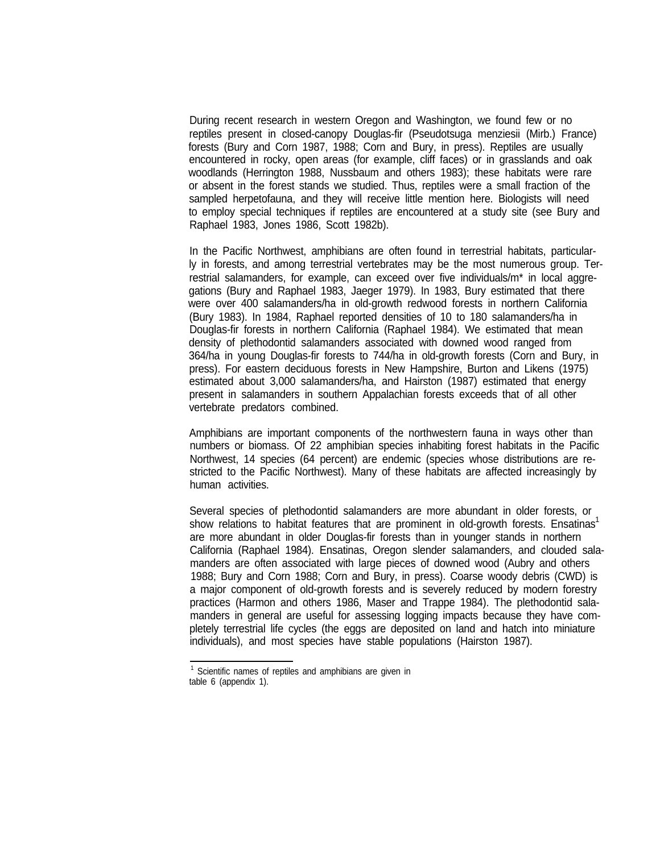During recent research in western Oregon and Washington, we found few or no reptiles present in closed-canopy Douglas-fir (Pseudotsuga menziesii (Mirb.) France) forests (Bury and Corn 1987, 1988; Corn and Bury, in press). Reptiles are usually encountered in rocky, open areas (for example, cliff faces) or in grasslands and oak woodlands (Herrington 1988, Nussbaum and others 1983); these habitats were rare or absent in the forest stands we studied. Thus, reptiles were a small fraction of the sampled herpetofauna, and they will receive little mention here. Biologists will need to employ special techniques if reptiles are encountered at a study site (see Bury and Raphael 1983, Jones 1986, Scott 1982b).

In the Pacific Northwest, amphibians are often found in terrestrial habitats, particularly in forests, and among terrestrial vertebrates may be the most numerous group. Terrestrial salamanders, for example, can exceed over five individuals/m\* in local aggregations (Bury and Raphael 1983, Jaeger 1979). In 1983, Bury estimated that there were over 400 salamanders/ha in old-growth redwood forests in northern California (Bury 1983). In 1984, Raphael reported densities of 10 to 180 salamanders/ha in Douglas-fir forests in northern California (Raphael 1984). We estimated that mean density of plethodontid salamanders associated with downed wood ranged from 364/ha in young Douglas-fir forests to 744/ha in old-growth forests (Corn and Bury, in press). For eastern deciduous forests in New Hampshire, Burton and Likens (1975) estimated about 3,000 salamanders/ha, and Hairston (1987) estimated that energy present in salamanders in southern Appalachian forests exceeds that of all other vertebrate predators combined.

Amphibians are important components of the northwestern fauna in ways other than numbers or biomass. Of 22 amphibian species inhabiting forest habitats in the Pacific Northwest, 14 species (64 percent) are endemic (species whose distributions are restricted to the Pacific Northwest). Many of these habitats are affected increasingly by human activities.

Several species of plethodontid salamanders are more abundant in older forests, or show relations to habitat features that are prominent in old-growth forests. Ensatinas<sup>1</sup> are more abundant in older Douglas-fir forests than in younger stands in northern California (Raphael 1984). Ensatinas, Oregon slender salamanders, and clouded salamanders are often associated with large pieces of downed wood (Aubry and others 1988; Bury and Corn 1988; Corn and Bury, in press). Coarse woody debris (CWD) is a major component of old-growth forests and is severely reduced by modern forestry practices (Harmon and others 1986, Maser and Trappe 1984). The plethodontid salamanders in general are useful for assessing logging impacts because they have completely terrestrial life cycles (the eggs are deposited on land and hatch into miniature individuals), and most species have stable populations (Hairston 1987).

<sup>&</sup>lt;sup>1</sup> Scientific names of reptiles and amphibians are given in table 6 (appendix 1).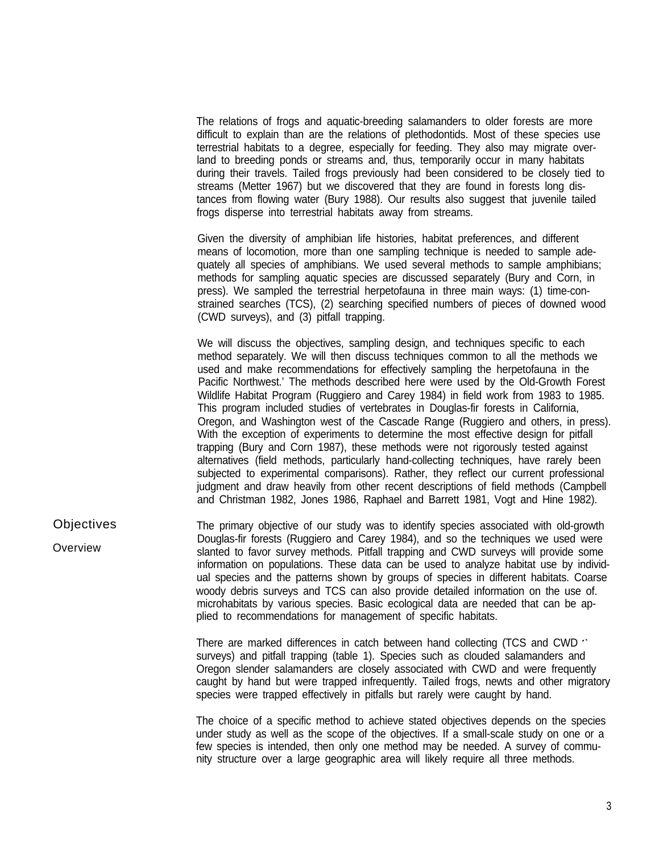The relations of frogs and aquatic-breeding salamanders to older forests are more difficult to explain than are the relations of plethodontids. Most of these species use terrestrial habitats to a degree, especially for feeding. They also may migrate overland to breeding ponds or streams and, thus, temporarily occur in many habitats during their travels. Tailed frogs previously had been considered to be closely tied to streams (Metter 1967) but we discovered that they are found in forests long distances from flowing water (Bury 1988). Our results also suggest that juvenile tailed frogs disperse into terrestrial habitats away from streams.

Given the diversity of amphibian life histories, habitat preferences, and different means of locomotion, more than one sampling technique is needed to sample adequately all species of amphibians. We used several methods to sample amphibians; methods for sampling aquatic species are discussed separately (Bury and Corn, in press). We sampled the terrestrial herpetofauna in three main ways: (1) time-constrained searches (TCS), (2) searching specified numbers of pieces of downed wood (CWD surveys), and (3) pitfall trapping.

We will discuss the objectives, sampling design, and techniques specific to each method separately. We will then discuss techniques common to all the methods we used and make recommendations for effectively sampling the herpetofauna in the Pacific Northwest.' The methods described here were used by the Old-Growth Forest Wildlife Habitat Program (Ruggiero and Carey 1984) in field work from 1983 to 1985. This program included studies of vertebrates in Douglas-fir forests in California, Oregon, and Washington west of the Cascade Range (Ruggiero and others, in press). With the exception of experiments to determine the most effective design for pitfall trapping (Bury and Corn 1987), these methods were not rigorously tested against alternatives (field methods, particularly hand-collecting techniques, have rarely been subjected to experimental comparisons). Rather, they reflect our current professional judgment and draw heavily from other recent descriptions of field methods (Campbell and Christman 1982, Jones 1986, Raphael and Barrett 1981, Vogt and Hine 1982).

**Objectives Overview** The primary objective of our study was to identify species associated with old-growth Douglas-fir forests (Ruggiero and Carey 1984), and so the techniques we used were slanted to favor survey methods. Pitfall trapping and CWD surveys will provide some information on populations. These data can be used to analyze habitat use by individual species and the patterns shown by groups of species in different habitats. Coarse woody debris surveys and TCS can also provide detailed information on the use of. microhabitats by various species. Basic ecological data are needed that can be applied to recommendations for management of specific habitats.

> There are marked differences in catch between hand collecting (TCS and CWD  $\cdot$ surveys) and pitfall trapping (table 1). Species such as clouded salamanders and Oregon slender salamanders are closely associated with CWD and were frequently caught by hand but were trapped infrequently. Tailed frogs, newts and other migratory species were trapped effectively in pitfalls but rarely were caught by hand.

> The choice of a specific method to achieve stated objectives depends on the species under study as well as the scope of the objectives. If a small-scale study on one or a few species is intended, then only one method may be needed. A survey of community structure over a large geographic area will likely require all three methods.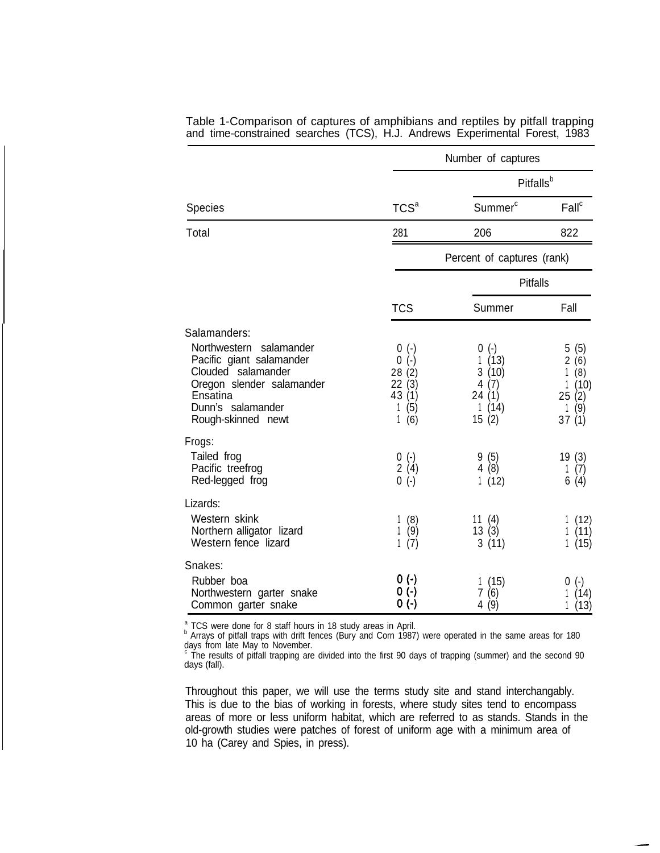|                                                                                                                                                                                                                                               | Number of captures                                                                                                               |                                                                                                   |                                                                                          |  |  |  |  |  |  |
|-----------------------------------------------------------------------------------------------------------------------------------------------------------------------------------------------------------------------------------------------|----------------------------------------------------------------------------------------------------------------------------------|---------------------------------------------------------------------------------------------------|------------------------------------------------------------------------------------------|--|--|--|--|--|--|
|                                                                                                                                                                                                                                               |                                                                                                                                  | Pitfalls <sup>b</sup>                                                                             |                                                                                          |  |  |  |  |  |  |
| Species                                                                                                                                                                                                                                       | TCS <sup>a</sup>                                                                                                                 | Summer <sup>c</sup>                                                                               | Fall <sup>c</sup>                                                                        |  |  |  |  |  |  |
| Total                                                                                                                                                                                                                                         | 281                                                                                                                              | 206                                                                                               | 822                                                                                      |  |  |  |  |  |  |
|                                                                                                                                                                                                                                               |                                                                                                                                  | Percent of captures (rank)                                                                        |                                                                                          |  |  |  |  |  |  |
|                                                                                                                                                                                                                                               |                                                                                                                                  | <b>Pitfalls</b>                                                                                   |                                                                                          |  |  |  |  |  |  |
|                                                                                                                                                                                                                                               | <b>TCS</b>                                                                                                                       | Summer                                                                                            | Fall                                                                                     |  |  |  |  |  |  |
| Salamanders:<br>Northwestern salamander<br>Pacific giant salamander<br>Clouded salamander<br>Oregon slender salamander<br>Ensatina<br>Dunn's salamander<br>Rough-skinned newt<br>Frogs:<br>Tailed frog<br>Pacific treefrog<br>Red-legged frog | $(\cdot)$<br>0<br>0<br>$(\cdot)$<br>28(2)<br>22<br>(3)<br>43<br>(1)<br>(5)<br>1<br>1<br>(6)<br>$(\cdot)$<br>0<br>2(4)<br>$0 (-)$ | $0(-)$<br>(13)<br>1.<br>3(10)<br>(7)<br>4<br>24(1)<br>(14)<br>1<br>15(2)<br>9(5)<br>4(8)<br>1(12) | 5(5)<br>2(6)<br>1<br>(8)<br>1<br>(10)<br>25(2)<br>1<br>(9)<br>37(1)<br>19(3)<br>1<br>(7) |  |  |  |  |  |  |
| Lizards:<br>Western skink<br>Northern alligator lizard<br>Western fence lizard                                                                                                                                                                | (8)<br>(9)<br>1<br>1<br>(7)                                                                                                      | 11<br>(4)<br>13(3)<br>3(11)                                                                       | 6(4)<br>(12)<br>(11)<br>(15)<br>1                                                        |  |  |  |  |  |  |
| Snakes:<br>Rubber boa<br>Northwestern garter snake<br>Common garter snake                                                                                                                                                                     | $0( - )$<br>$0( - )$<br>$0( - )$                                                                                                 | 1(15)<br>(6)<br>7<br>4(9)                                                                         | $(\cdot)$<br>0<br>(14)<br>(13)                                                           |  |  |  |  |  |  |

Table 1-Comparison of captures of amphibians and reptiles by pitfall trapping and time-constrained searches (TCS), H.J. Andrews Experimental Forest, 1983

<sup>a</sup> TCS were done for 8 staff hours in 18 study areas in April.<br><sup>b</sup> Arrays of pitfall traps with drift fences (Bury and Corn 1987) were operated in the same areas for 180 days from late May to November. c The results of pitfall trapping are divided into the first 90 days of trapping (summer) and the second 90

days (fall).

Throughout this paper, we will use the terms study site and stand interchangably. This is due to the bias of working in forests, where study sites tend to encompass areas of more or less uniform habitat, which are referred to as stands. Stands in the old-growth studies were patches of forest of uniform age with a minimum area of 10 ha (Carey and Spies, in press).

-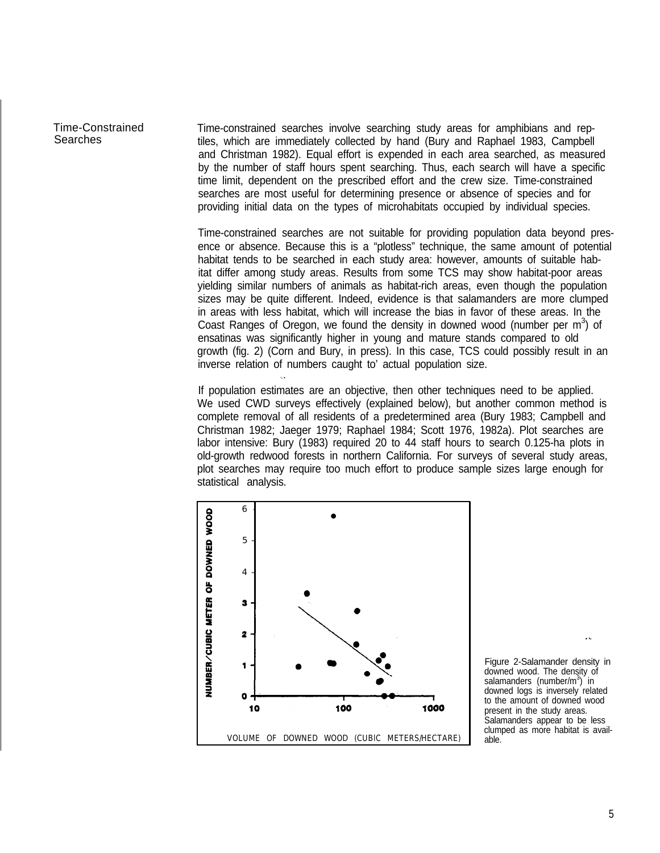Time-Constrained Searches

Time-constrained searches involve searching study areas for amphibians and reptiles, which are immediately collected by hand (Bury and Raphael 1983, Campbell and Christman 1982). Equal effort is expended in each area searched, as measured by the number of staff hours spent searching. Thus, each search will have a specific time limit, dependent on the prescribed effort and the crew size. Time-constrained searches are most useful for determining presence or absence of species and for providing initial data on the types of microhabitats occupied by individual species.

Time-constrained searches are not suitable for providing population data beyond presence or absence. Because this is a "plotless" technique, the same amount of potential habitat tends to be searched in each study area: however, amounts of suitable habitat differ among study areas. Results from some TCS may show habitat-poor areas yielding similar numbers of animals as habitat-rich areas, even though the population sizes may be quite different. Indeed, evidence is that salamanders are more clumped in areas with less habitat, which will increase the bias in favor of these areas. In the Coast Ranges of Oregon, we found the density in downed wood (number per  $m<sup>3</sup>$ ) of ensatinas was significantly higher in young and mature stands compared to old growth (fig. 2) (Corn and Bury, in press). In this case, TCS could possibly result in an inverse relation of numbers caught to' actual population size.

If population estimates are an objective, then other techniques need to be applied. We used CWD surveys effectively (explained below), but another common method is complete removal of all residents of a predetermined area (Bury 1983; Campbell and Christman 1982; Jaeger 1979; Raphael 1984; Scott 1976, 1982a). Plot searches are labor intensive: Bury (1983) required 20 to 44 staff hours to search 0.125-ha plots in old-growth redwood forests in northern California. For surveys of several study areas, plot searches may require too much effort to produce sample sizes large enough for statistical analysis.



Figure 2-Salamander density in downed wood. The density of salamanders (number/m<sup>3</sup>) in downed logs is inversely related to the amount of downed wood present in the study areas. Salamanders appear to be less clumped as more habitat is available.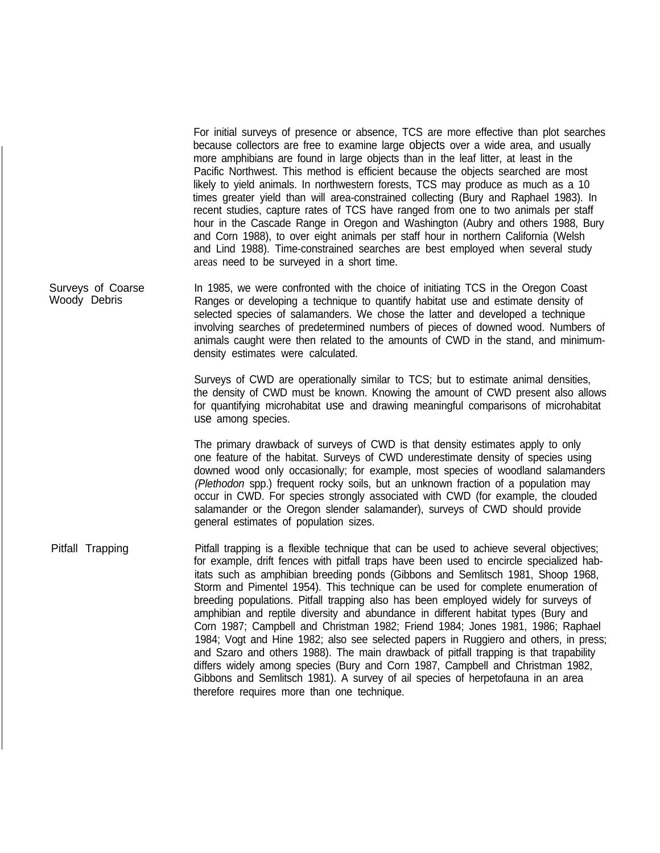For initial surveys of presence or absence, TCS are more effective than plot searches because collectors are free to examine large objects over a wide area, and usually more amphibians are found in large objects than in the leaf litter, at least in the Pacific Northwest. This method is efficient because the objects searched are most likely to yield animals. In northwestern forests, TCS may produce as much as a 10 times greater yield than will area-constrained collecting (Bury and Raphael 1983). In recent studies, capture rates of TCS have ranged from one to two animals per staff hour in the Cascade Range in Oregon and Washington (Aubry and others 1988, Bury and Corn 1988), to over eight animals per staff hour in northern California (Welsh and Lind 1988). Time-constrained searches are best employed when several study areas need to be surveyed in a short time.

Surveys of Coarse Woody Debris In 1985, we were confronted with the choice of initiating TCS in the Oregon Coast Ranges or developing a technique to quantify habitat use and estimate density of selected species of salamanders. We chose the latter and developed a technique involving searches of predetermined numbers of pieces of downed wood. Numbers of animals caught were then related to the amounts of CWD in the stand, and minimumdensity estimates were calculated.

> Surveys of CWD are operationally similar to TCS; but to estimate animal densities, the density of CWD must be known. Knowing the amount of CWD present also allows for quantifying microhabitat use and drawing meaningful comparisons of microhabitat use among species.

> The primary drawback of surveys of CWD is that density estimates apply to only one feature of the habitat. Surveys of CWD underestimate density of species using downed wood only occasionally; for example, most species of woodland salamanders *(Plethodon* spp.) frequent rocky soils, but an unknown fraction of a population may occur in CWD. For species strongly associated with CWD (for example, the clouded salamander or the Oregon slender salamander), surveys of CWD should provide general estimates of population sizes.

Pitfall Trapping Pitfall trapping is a flexible technique that can be used to achieve several objectives; for example, drift fences with pitfall traps have been used to encircle specialized habitats such as amphibian breeding ponds (Gibbons and Semlitsch 1981, Shoop 1968, Storm and Pimentel 1954). This technique can be used for complete enumeration of breeding populations. Pitfall trapping also has been employed widely for surveys of amphibian and reptile diversity and abundance in different habitat types (Bury and Corn 1987; Campbell and Christman 1982; Friend 1984; Jones 1981, 1986; Raphael 1984; Vogt and Hine 1982; also see selected papers in Ruggiero and others, in press; and Szaro and others 1988). The main drawback of pitfall trapping is that trapability differs widely among species (Bury and Corn 1987, Campbell and Christman 1982, Gibbons and Semlitsch 1981). A survey of ail species of herpetofauna in an area therefore requires more than one technique.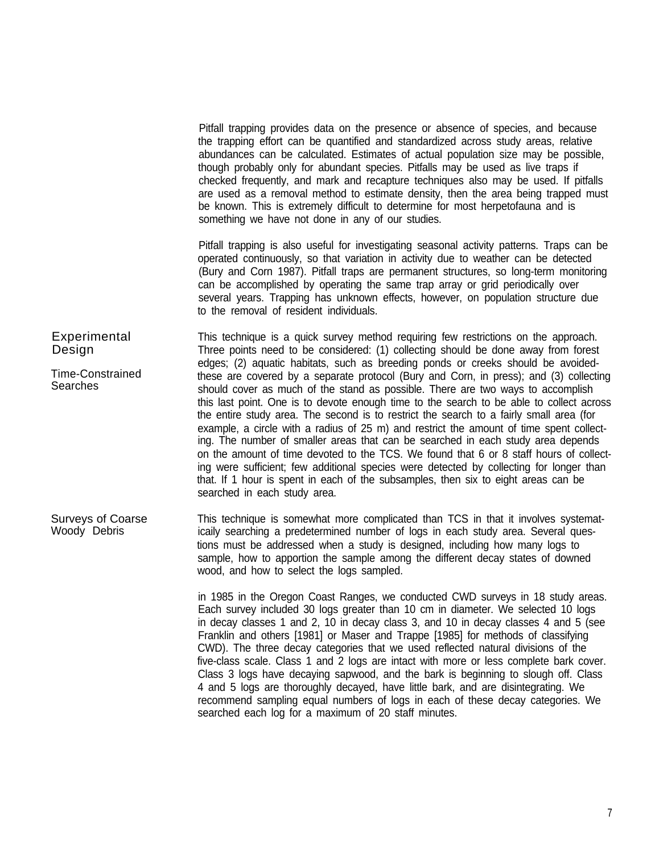Pitfall trapping provides data on the presence or absence of species, and because the trapping effort can be quantified and standardized across study areas, relative abundances can be calculated. Estimates of actual population size may be possible, though probably only for abundant species. Pitfalls may be used as live traps if checked frequently, and mark and recapture techniques also may be used. If pitfalls are used as a removal method to estimate density, then the area being trapped must be known. This is extremely difficult to determine for most herpetofauna and is something we have not done in any of our studies.

Pitfall trapping is also useful for investigating seasonal activity patterns. Traps can be operated continuously, so that variation in activity due to weather can be detected (Bury and Corn 1987). Pitfall traps are permanent structures, so long-term monitoring can be accomplished by operating the same trap array or grid periodically over several years. Trapping has unknown effects, however, on population structure due to the removal of resident individuals.

Experimental Design This technique is a quick survey method requiring few restrictions on the approach. Three points need to be considered: (1) collecting should be done away from forest Time-Constrained **Searches** edges; (2) aquatic habitats, such as breeding ponds or creeks should be avoidedthese are covered by a separate protocol (Bury and Corn, in press); and (3) collecting should cover as much of the stand as possible. There are two ways to accomplish this last point. One is to devote enough time to the search to be able to collect across the entire study area. The second is to restrict the search to a fairly small area (for example, a circle with a radius of 25 m) and restrict the amount of time spent collecting. The number of smaller areas that can be searched in each study area depends on the amount of time devoted to the TCS. We found that 6 or 8 staff hours of collecting were sufficient; few additional species were detected by collecting for longer than that. If 1 hour is spent in each of the subsamples, then six to eight areas can be searched in each study area.

Surveys of Coarse Woody Debris This technique is somewhat more complicated than TCS in that it involves systematicaily searching a predetermined number of logs in each study area. Several questions must be addressed when a study is designed, including how many logs to sample, how to apportion the sample among the different decay states of downed wood, and how to select the logs sampled.

> in 1985 in the Oregon Coast Ranges, we conducted CWD surveys in 18 study areas. Each survey included 30 logs greater than 10 cm in diameter. We selected 10 logs in decay classes 1 and 2, 10 in decay class 3, and 10 in decay classes 4 and 5 (see Franklin and others [1981] or Maser and Trappe [1985] for methods of classifying CWD). The three decay categories that we used reflected natural divisions of the five-class scale. Class 1 and 2 logs are intact with more or less complete bark cover. Class 3 logs have decaying sapwood, and the bark is beginning to slough off. Class 4 and 5 logs are thoroughly decayed, have little bark, and are disintegrating. We recommend sampling equal numbers of logs in each of these decay categories. We searched each log for a maximum of 20 staff minutes.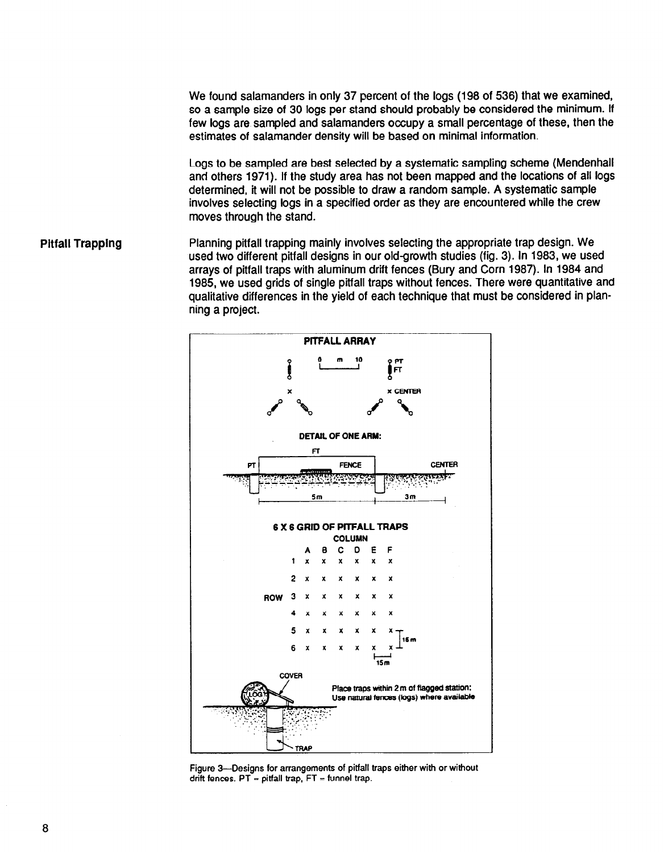We found salamanders in only 37 percent of the logs (198 of 536) that we examined, so a sample size of 30 logs per stand should probably be considered the minimum. if few logs are sampled and salamanders occupy a small percentage of these, then the estimates of salamander density will be based on minimal information.

Logs to be sampled are best selected by a systematic sampling scheme (Mendenhaii and others 1971). If the study area has not been mapped and the locations of ail logs determined, it will not be possible to draw a random sample. A systematic sample involves selecting logs in a specified order as they are encountered while the crew moves through the stand.

Pitfall Trapping Planning pitfall trapping mainly involves selecting the appropriate trap design. We used two different pitfall designs in our old-growth studies (fig. 3). in 1983, we used arrays of pitfall traps with aluminum drift fences (Bury and Corn 1987). in 1984 and 1985, we used grids of single pitfall traps without fences. There were quantitative and qualitative differences in the yield of each technique that must be considered in planning a project.



Figure 3-Designs for arrangements of pitfall traps either with or without drift fences.  $PT =$  pitfall trap,  $FT =$  funnel trap.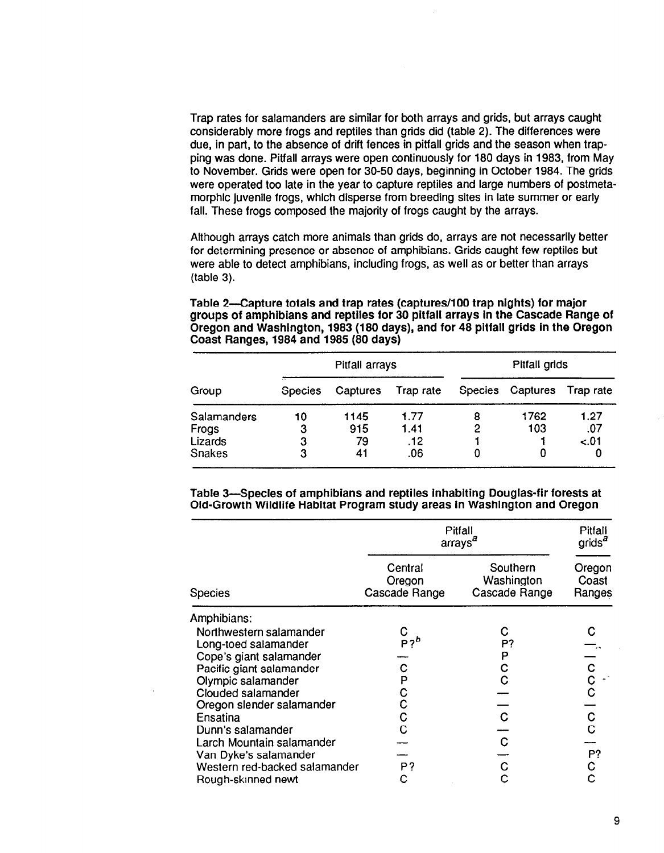Trap rates for salamanders are similar for both arrays and grids, but arrays caught considerably more frogs and reptiles than grids did (table 2). The differences were due, in part, to the absence of drift fences in pitfall grids and the season when trapping was done. Pitfall arrays were open continuously for 180 days in 1983, from May to November. Grids were open for 30-50 days, beginning in October 1984. The grids were operated too late in the year to capture reptiles and large numbers of postmetamorphic juvenile frogs, which disperse from breeding sites in late summer or early fall. These frogs composed the majority of frogs caught by the arrays.

Although arrays catch more animals than grids do, arrays are not necessarily better for determining presence or absence of amphibians. Grids caught few reptiles but were able to detect amphibians, including frogs, as well as or better than arrays (table 3).

Table 2-Capture totals and trap rates (captures/100 trap nights) for major groups of amphibians and reptiles for 30 pitfall arrays in the Cascade Range of Oregon and Washington, 1983 (180 days), and for 48 pitfall grids in the Oregon Coast Ranges, 1984 and 1985 (80 days)

| Group         |                | Pitfall arrays |           | Pitfall grids  |          |           |  |  |  |
|---------------|----------------|----------------|-----------|----------------|----------|-----------|--|--|--|
|               | <b>Species</b> | Captures       | Trap rate | <b>Species</b> | Captures | Trap rate |  |  |  |
| Salamanders   | 10             | 1145           | 1.77      | 8              | 1762     | 1.27      |  |  |  |
| Frogs         | 3              | 915            | 1.41      | 2              | 103      | .07       |  |  |  |
| Lizards       | 3              | 79             | .12       |                |          | $-.01$    |  |  |  |
| <b>Snakes</b> | 3              | 41             | .06       | 0              | 0        |           |  |  |  |

Table 3-Species of amphibians and reptiles inhabiting Douglas-fir forests at Old-Growth Wildlife Habitat Program study areas in Washington and Oregon

|                               | Pitfall<br>arrays <sup>a</sup>     | <b>Pitfall</b><br>$grids^a$             |                           |  |
|-------------------------------|------------------------------------|-----------------------------------------|---------------------------|--|
| <b>Species</b>                | Central<br>Oregon<br>Cascade Range | Southern<br>Washington<br>Cascade Range | Oregon<br>Coast<br>Ranges |  |
| Amphibians:                   |                                    |                                         |                           |  |
| Northwestern salamander       |                                    | C                                       |                           |  |
| Long-toed salamander          | $C_{P2}b$                          | P?                                      |                           |  |
| Cope's giant salamander       |                                    | P                                       |                           |  |
| Pacific giant salamander      | C                                  | С                                       | $\frac{c}{c}$             |  |
| Olympic salamander            | P                                  | C                                       |                           |  |
| Clouded salamander            | C<br>C                             |                                         |                           |  |
| Oregon slender salamander     |                                    |                                         |                           |  |
| Ensatina                      | С                                  |                                         | C<br>C                    |  |
| Dunn's salamander             | Ć                                  |                                         |                           |  |
| Larch Mountain salamander     |                                    | C                                       |                           |  |
| Van Dyke's salamander         |                                    |                                         | P?                        |  |
| Western red-backed salamander | P?                                 |                                         | с                         |  |
| Rough-skinned newt            |                                    |                                         | с                         |  |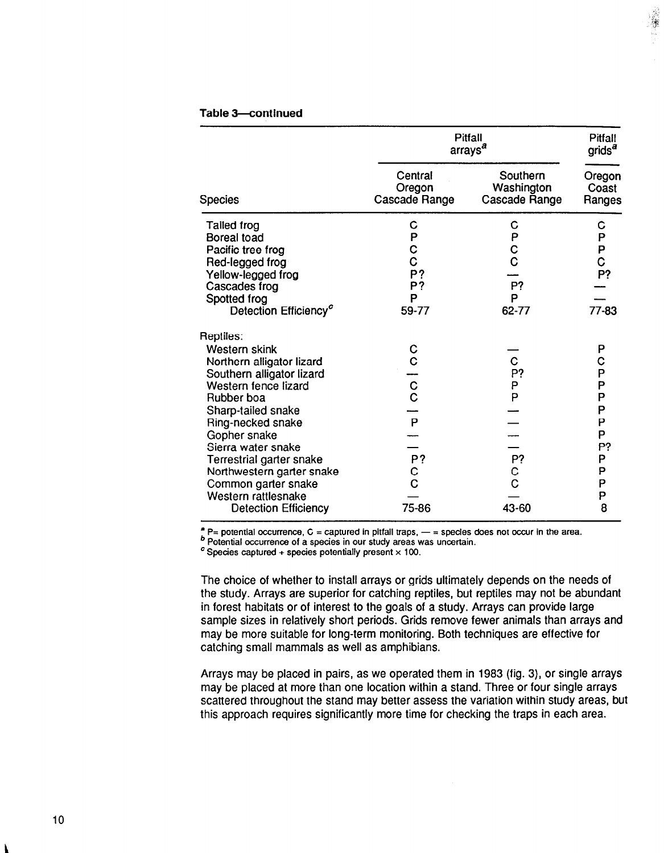|                                                                                                                                                                                                                                                                                             | Pitfall<br>arrays <sup>a</sup>                            |                                                                  |                                                           |  |  |  |  |  |  |
|---------------------------------------------------------------------------------------------------------------------------------------------------------------------------------------------------------------------------------------------------------------------------------------------|-----------------------------------------------------------|------------------------------------------------------------------|-----------------------------------------------------------|--|--|--|--|--|--|
| <b>Species</b>                                                                                                                                                                                                                                                                              | Central<br>Oregon<br>Cascade Range                        | Southern<br>Washington<br>Cascade Range                          | Oregon<br>Coast<br>Ranges                                 |  |  |  |  |  |  |
| <b>Tailed frog</b><br><b>Boreal toad</b><br>Pacific tree frog<br>Red-legged frog<br>Yellow-legged frog<br>Cascades frog<br>Spotted frog<br>Detection Efficiency <sup>c</sup>                                                                                                                | C<br>P<br>C<br>C<br>P<br>?<br>P?<br>P<br>59-77            | C<br>P<br>C<br>C<br>P?<br>P<br>62-77                             | C<br>P<br>P<br>C<br>P?<br>77-83                           |  |  |  |  |  |  |
| Reptiles:<br>Western skink<br>Northern alligator lizard<br>Southern alligator lizard<br>Western fence lizard<br>Rubber boa<br>Sharp-tailed snake<br>Ring-necked snake<br>Gopher snake<br>Sierra water snake<br>Terrestrial garter snake<br>Northwestern garter snake<br>Common garter snake | C<br>C<br>$\frac{C}{C}$<br>$\overline{P}$<br>P?<br>C<br>C | C<br>P<br>P<br>P<br>$\begin{bmatrix} P? \\ C \\ C \end{bmatrix}$ | P<br>C<br>P<br>P<br>P<br>P<br>P<br>P<br>P?<br>P<br>P<br>P |  |  |  |  |  |  |
| Western rattlesnake<br><b>Detection Efficiency</b>                                                                                                                                                                                                                                          | 75-86                                                     | 43-60                                                            | P<br>8                                                    |  |  |  |  |  |  |

美津

### Table 3-continued

 $^{\circ}$  P= potential occurrence, C = captured in pitfall traps,  $-$  = species does not occur in the area.

 $b^{\text{P}}$  potential occurrence of a species in our study areas was uncertain.

 $^c$  Species captured + species potentially present  $\times$  100.

The choice of whether to install arrays or grids ultimately depends on the needs of the study. Arrays are superior for catching reptiles, but reptiles may not be abundant in forest habitats or of interest to the goals of a study. Arrays can provide large sample sizes in relatively short periods. Grids remove fewer animals than arrays and may be more suitable for long-term monitoring. Both techniques are effective for catching small mammals as well as amphibians.

Arrays may be placed in pairs, as we operated them in 1983 (fig. 3), or single arrays may be placed at more than one location within a stand. Three or four single arrays scattered throughout the stand may better assess the variation within study areas, but this approach requires significantly more time for checking the traps in each area.

 $\mathbf{I}$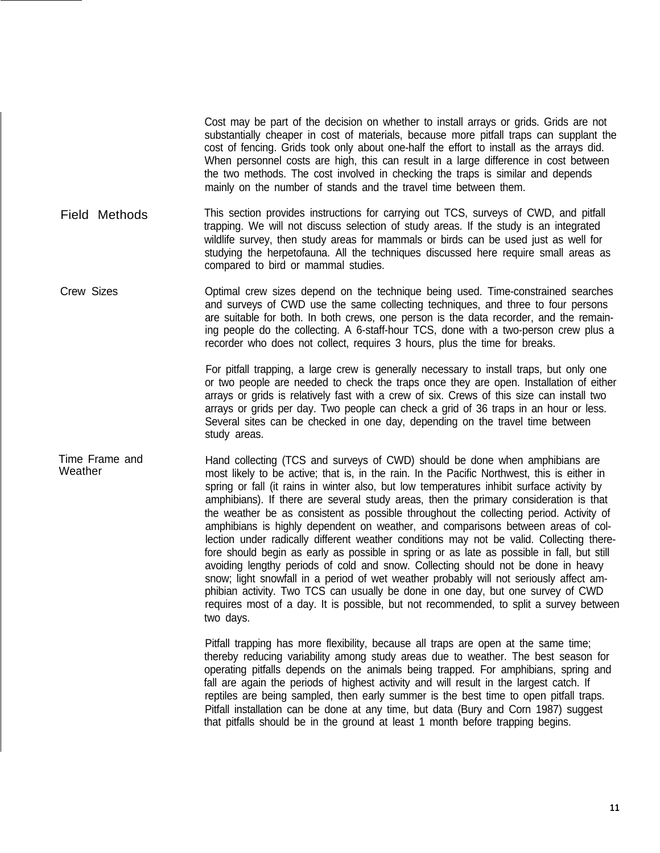Cost may be part of the decision on whether to install arrays or grids. Grids are not substantially cheaper in cost of materials, because more pitfall traps can supplant the cost of fencing. Grids took only about one-half the effort to install as the arrays did. When personnel costs are high, this can result in a large difference in cost between the two methods. The cost involved in checking the traps is similar and depends mainly on the number of stands and the travel time between them.

- Field Methods This section provides instructions for carrying out TCS, surveys of CWD, and pitfall trapping. We will not discuss selection of study areas. If the study is an integrated wildlife survey, then study areas for mammals or birds can be used just as well for studying the herpetofauna. All the techniques discussed here require small areas as compared to bird or mammal studies.
- Crew Sizes Optimal crew sizes depend on the technique being used. Time-constrained searches and surveys of CWD use the same collecting techniques, and three to four persons are suitable for both. In both crews, one person is the data recorder, and the remaining people do the collecting. A 6-staff-hour TCS, done with a two-person crew plus a recorder who does not collect, requires 3 hours, plus the time for breaks.

For pitfall trapping, a large crew is generally necessary to install traps, but only one or two people are needed to check the traps once they are open. Installation of either arrays or grids is relatively fast with a crew of six. Crews of this size can install two arrays or grids per day. Two people can check a grid of 36 traps in an hour or less. Several sites can be checked in one day, depending on the travel time between study areas.

Time Frame and Weather Hand collecting (TCS and surveys of CWD) should be done when amphibians are most likely to be active; that is, in the rain. In the Pacific Northwest, this is either in spring or fall (it rains in winter also, but low temperatures inhibit surface activity by amphibians). If there are several study areas, then the primary consideration is that the weather be as consistent as possible throughout the collecting period. Activity of amphibians is highly dependent on weather, and comparisons between areas of collection under radically different weather conditions may not be valid. Collecting therefore should begin as early as possible in spring or as late as possible in fall, but still avoiding lengthy periods of cold and snow. Collecting should not be done in heavy snow; light snowfall in a period of wet weather probably will not seriously affect amphibian activity. Two TCS can usually be done in one day, but one survey of CWD requires most of a day. It is possible, but not recommended, to split a survey between two days.

> Pitfall trapping has more flexibility, because all traps are open at the same time; thereby reducing variability among study areas due to weather. The best season for operating pitfalls depends on the animals being trapped. For amphibians, spring and fall are again the periods of highest activity and will result in the largest catch. If reptiles are being sampled, then early summer is the best time to open pitfall traps. Pitfall installation can be done at any time, but data (Bury and Corn 1987) suggest that pitfalls should be in the ground at least 1 month before trapping begins.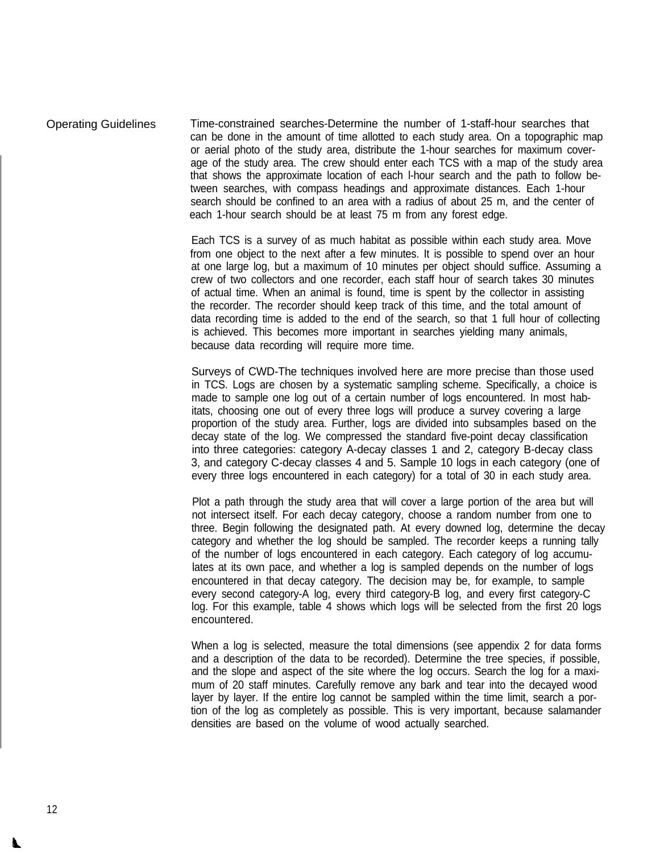Operating Guidelines Time-constrained searches-Determine the number of 1-staff-hour searches that can be done in the amount of time allotted to each study area. On a topographic map or aerial photo of the study area, distribute the 1-hour searches for maximum coverage of the study area. The crew should enter each TCS with a map of the study area that shows the approximate location of each l-hour search and the path to follow between searches, with compass headings and approximate distances. Each 1-hour search should be confined to an area with a radius of about 25 m, and the center of each 1-hour search should be at least 75 m from any forest edge.

> Each TCS is a survey of as much habitat as possible within each study area. Move from one object to the next after a few minutes. It is possible to spend over an hour at one large log, but a maximum of 10 minutes per object should suffice. Assuming a crew of two collectors and one recorder, each staff hour of search takes 30 minutes of actual time. When an animal is found, time is spent by the collector in assisting the recorder. The recorder should keep track of this time, and the total amount of data recording time is added to the end of the search, so that 1 full hour of collecting is achieved. This becomes more important in searches yielding many animals, because data recording will require more time.

> Surveys of CWD-The techniques involved here are more precise than those used in TCS. Logs are chosen by a systematic sampling scheme. Specifically, a choice is made to sample one log out of a certain number of logs encountered. In most habitats, choosing one out of every three logs will produce a survey covering a large proportion of the study area. Further, logs are divided into subsamples based on the decay state of the log. We compressed the standard five-point decay classification into three categories: category A-decay classes 1 and 2, category B-decay class 3, and category C-decay classes 4 and 5. Sample 10 logs in each category (one of every three logs encountered in each category) for a total of 30 in each study area.

Plot a path through the study area that will cover a large portion of the area but will not intersect itself. For each decay category, choose a random number from one to three. Begin following the designated path. At every downed log, determine the decay category and whether the log should be sampled. The recorder keeps a running tally of the number of logs encountered in each category. Each category of log accumulates at its own pace, and whether a log is sampled depends on the number of logs encountered in that decay category. The decision may be, for example, to sample every second category-A log, every third category-B log, and every first category-C log. For this example, table 4 shows which logs will be selected from the first 20 logs encountered.

When a log is selected, measure the total dimensions (see appendix 2 for data forms and a description of the data to be recorded). Determine the tree species, if possible, and the slope and aspect of the site where the log occurs. Search the log for a maximum of 20 staff minutes. Carefully remove any bark and tear into the decayed wood layer by layer. If the entire log cannot be sampled within the time limit, search a portion of the log as completely as possible. This is very important, because salamander densities are based on the volume of wood actually searched.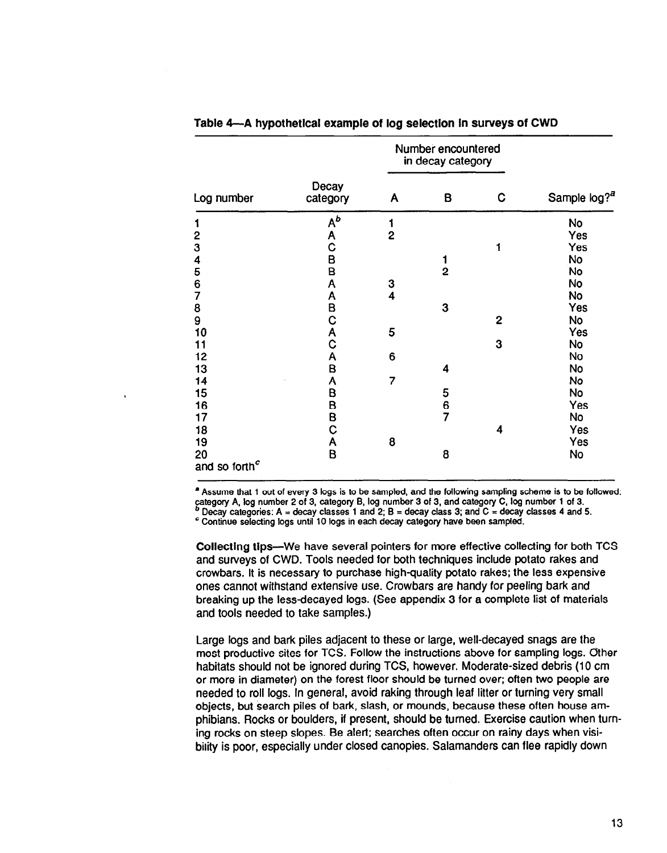|                                 |                          |                         | Number encountered<br>in decay category |                |                          |  |
|---------------------------------|--------------------------|-------------------------|-----------------------------------------|----------------|--------------------------|--|
| Log number                      | <b>Decay</b><br>category | A                       | B                                       | C              | Sample log? <sup>a</sup> |  |
| 1                               | $A^b$                    | 1                       |                                         |                | <b>No</b>                |  |
|                                 |                          | $\mathbf{2}$            |                                         |                | Yes                      |  |
| $\frac{2}{3}$                   | ACBB                     |                         |                                         | 1              | Yes                      |  |
|                                 |                          |                         | 1                                       |                | No                       |  |
| 4567                            |                          |                         | $\overline{2}$                          |                | <b>No</b>                |  |
|                                 | A                        | 3                       |                                         |                | No                       |  |
|                                 |                          | $\overline{\mathbf{4}}$ |                                         |                | <b>No</b>                |  |
| 8                               | <b>ABCACAB</b>           |                         | 3                                       |                | Yes                      |  |
| 9                               |                          |                         |                                         | $\overline{2}$ | No                       |  |
| 10                              |                          | 5                       |                                         |                | Yes                      |  |
| 11                              |                          |                         |                                         | 3              | No                       |  |
| 12                              |                          | 6                       |                                         |                | No                       |  |
| 13                              |                          |                         | 4                                       |                | <b>No</b>                |  |
| 14                              | A                        | 7                       |                                         |                | No                       |  |
| 15                              | B                        |                         | 5                                       |                | <b>No</b>                |  |
| 16                              |                          |                         | $\frac{6}{7}$                           |                | Yes                      |  |
| 17                              |                          |                         |                                         |                | <b>No</b>                |  |
| 18                              |                          |                         |                                         | 4              | Yes                      |  |
| 19                              |                          | 8                       |                                         |                | Yes                      |  |
| 20<br>and so forth <sup>c</sup> | <b>BBCAB</b>             |                         | 8                                       |                | <b>No</b>                |  |

Table 4-A hypothetical example of log selection in surveys of CWD

' Assume that 1 out of every 3 logs is to be sampled, and the following sampling scheme is to be followed: category A, log number 2 of 3, category B, log number 3 of 3, and category C, log number 1 of 3.<br>B Docavi category C, log number 1 of 3. Decay categories:  $A =$  decay classes 1 and 2;  $B =$  decay class 3; and  $C =$  decay classes 4 and 5.

' Continue selecting logs until 10 logs in each decay category have been sampled.

Collecting tips-We have several pointers for more effective collecting for both TCS and surveys of CWD. Tools needed for both techniques include potato rakes and crowbars. It is necessary to purchase high-quality potato rakes; the less expensive ones cannot withstand extensive use. Crowbars are handy for peeling bark and breaking up the less-decayed logs. (See appendix 3 for a complete list of materials and tools needed to take samples.)

Large logs and bark piles adjacent to these or large, well-decayed snags are the most productive sites for TCS. Follow the instructions above for sampling logs. Cther habitats should not be ignored during TCS, however. Moderate-sized debris (10 cm or more in diameter) on the forest floor should be turned over; often two people are needed to roll logs. In general, avoid raking through leaf litter or turning very small objects, but search piles of bark, slash, or mounds, because these often house amphibians. Rocks or boulders, if present, should be turned. Exercise caution when turning rocks on steep slopes. Be alert; searches often occur on rainy days when visibility is poor, especially under closed canopies. Salamanders can flee rapidly down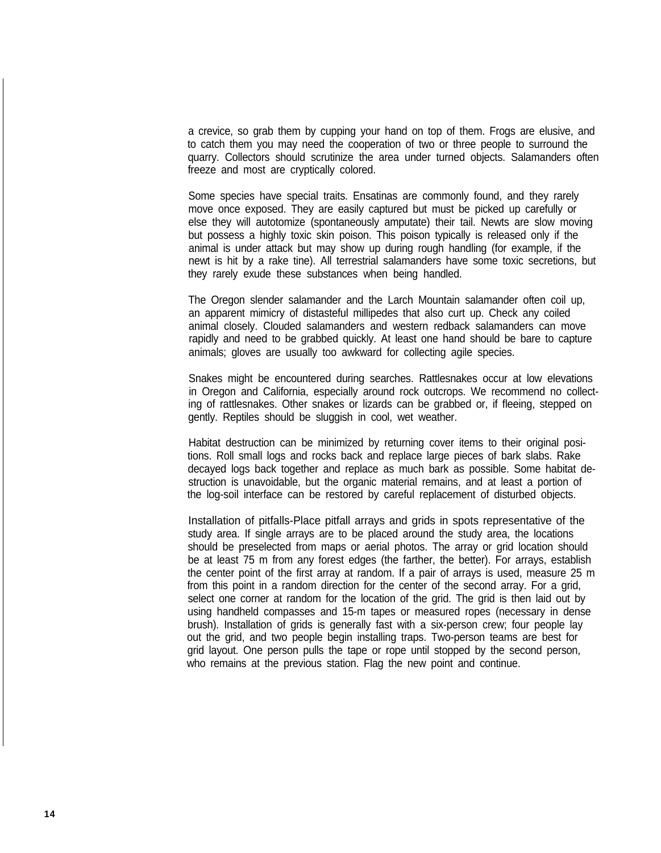a crevice, so grab them by cupping your hand on top of them. Frogs are elusive, and to catch them you may need the cooperation of two or three people to surround the quarry. Collectors should scrutinize the area under turned objects. Salamanders often freeze and most are cryptically colored.

Some species have special traits. Ensatinas are commonly found, and they rarely move once exposed. They are easily captured but must be picked up carefully or else they will autotomize (spontaneously amputate) their tail. Newts are slow moving but possess a highly toxic skin poison. This poison typically is released only if the animal is under attack but may show up during rough handling (for example, if the newt is hit by a rake tine). All terrestrial salamanders have some toxic secretions, but they rarely exude these substances when being handled.

The Oregon slender salamander and the Larch Mountain salamander often coil up, an apparent mimicry of distasteful millipedes that also curt up. Check any coiled animal closely. Clouded salamanders and western redback salamanders can move rapidly and need to be grabbed quickly. At least one hand should be bare to capture animals; gloves are usually too awkward for collecting agile species.

Snakes might be encountered during searches. Rattlesnakes occur at low elevations in Oregon and California, especially around rock outcrops. We recommend no collecting of rattlesnakes. Other snakes or lizards can be grabbed or, if fleeing, stepped on gently. Reptiles should be sluggish in cool, wet weather.

Habitat destruction can be minimized by returning cover items to their original positions. Roll small logs and rocks back and replace large pieces of bark slabs. Rake decayed logs back together and replace as much bark as possible. Some habitat destruction is unavoidable, but the organic material remains, and at least a portion of the log-soil interface can be restored by careful replacement of disturbed objects.

Installation of pitfalls-Place pitfall arrays and grids in spots representative of the study area. If single arrays are to be placed around the study area, the locations should be preselected from maps or aerial photos. The array or grid location should be at least 75 m from any forest edges (the farther, the better). For arrays, establish the center point of the first array at random. If a pair of arrays is used, measure 25 m from this point in a random direction for the center of the second array. For a grid, select one corner at random for the location of the grid. The grid is then laid out by using handheld compasses and 15-m tapes or measured ropes (necessary in dense brush). Installation of grids is generally fast with a six-person crew; four people lay out the grid, and two people begin installing traps. Two-person teams are best for grid layout. One person pulls the tape or rope until stopped by the second person, who remains at the previous station. Flag the new point and continue.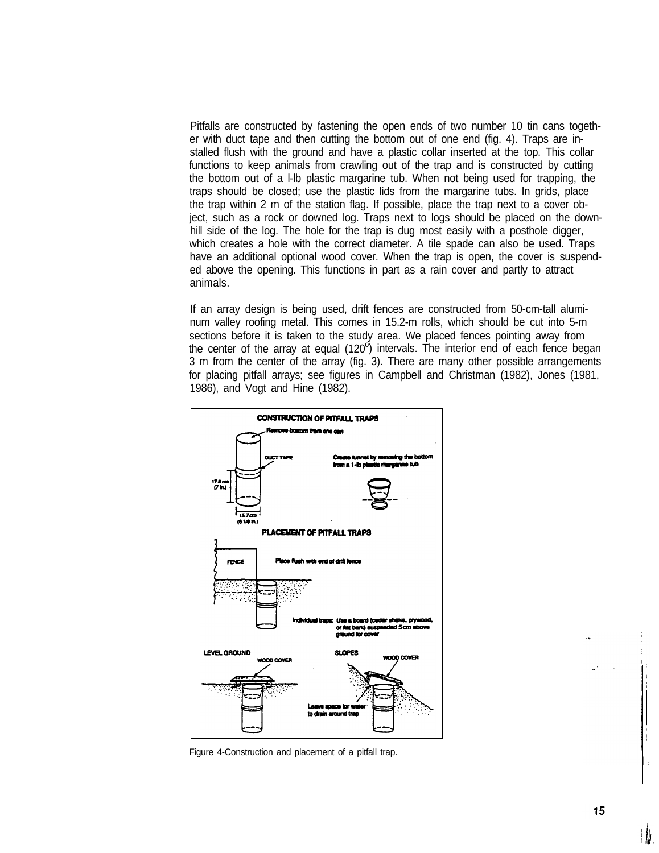Pitfalls are constructed by fastening the open ends of two number 10 tin cans together with duct tape and then cutting the bottom out of one end (fig. 4). Traps are installed flush with the ground and have a plastic collar inserted at the top. This collar functions to keep animals from crawling out of the trap and is constructed by cutting the bottom out of a l-lb plastic margarine tub. When not being used for trapping, the traps should be closed; use the plastic lids from the margarine tubs. In grids, place the trap within 2 m of the station flag. If possible, place the trap next to a cover object, such as a rock or downed log. Traps next to logs should be placed on the downhill side of the log. The hole for the trap is dug most easily with a posthole digger, which creates a hole with the correct diameter. A tile spade can also be used. Traps have an additional optional wood cover. When the trap is open, the cover is suspended above the opening. This functions in part as a rain cover and partly to attract animals.

If an array design is being used, drift fences are constructed from 50-cm-tall aluminum valley roofing metal. This comes in 15.2-m rolls, which should be cut into 5-m sections before it is taken to the study area. We placed fences pointing away from the center of the array at equal  $(120^\circ)$  intervals. The interior end of each fence began 3 m from the center of the array (fig. 3). There are many other possible arrangements for placing pitfall arrays; see figures in Campbell and Christman (1982), Jones (1981, 1986), and Vogt and Hine (1982).



Figure 4-Construction and placement of a pitfall trap.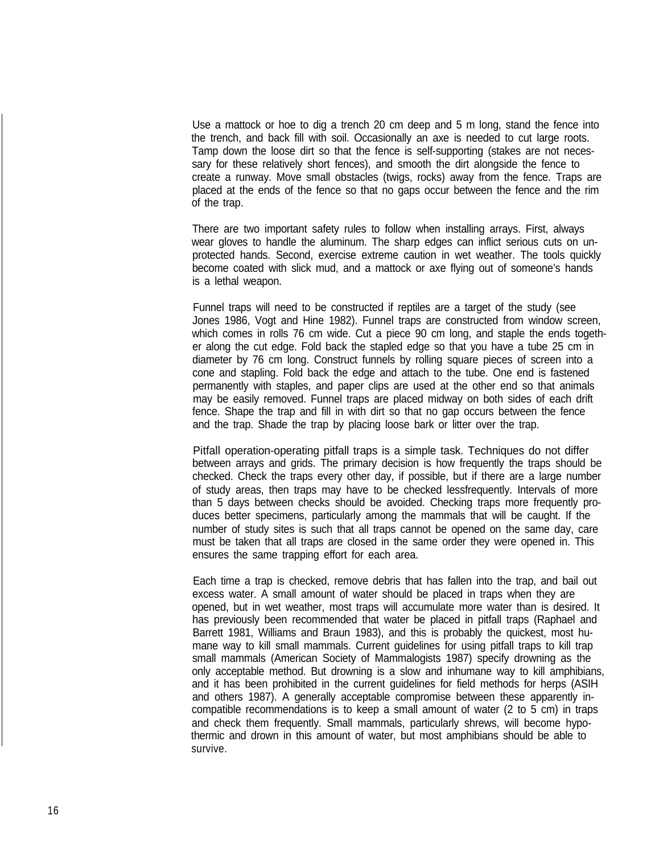Use a mattock or hoe to dig a trench 20 cm deep and 5 m long, stand the fence into the trench, and back fill with soil. Occasionally an axe is needed to cut large roots. Tamp down the loose dirt so that the fence is self-supporting (stakes are not necessary for these relatively short fences), and smooth the dirt alongside the fence to create a runway. Move small obstacles (twigs, rocks) away from the fence. Traps are placed at the ends of the fence so that no gaps occur between the fence and the rim of the trap.

There are two important safety rules to follow when installing arrays. First, always wear gloves to handle the aluminum. The sharp edges can inflict serious cuts on unprotected hands. Second, exercise extreme caution in wet weather. The tools quickly become coated with slick mud, and a mattock or axe flying out of someone's hands is a lethal weapon.

Funnel traps will need to be constructed if reptiles are a target of the study (see Jones 1986, Vogt and Hine 1982). Funnel traps are constructed from window screen, which comes in rolls 76 cm wide. Cut a piece 90 cm long, and staple the ends together along the cut edge. Fold back the stapled edge so that you have a tube 25 cm in diameter by 76 cm long. Construct funnels by rolling square pieces of screen into a cone and stapling. Fold back the edge and attach to the tube. One end is fastened permanently with staples, and paper clips are used at the other end so that animals may be easily removed. Funnel traps are placed midway on both sides of each drift fence. Shape the trap and fill in with dirt so that no gap occurs between the fence and the trap. Shade the trap by placing loose bark or litter over the trap.

Pitfall operation-operating pitfall traps is a simple task. Techniques do not differ between arrays and grids. The primary decision is how frequently the traps should be checked. Check the traps every other day, if possible, but if there are a large number of study areas, then traps may have to be checked lessfrequently. Intervals of more than 5 days between checks should be avoided. Checking traps more frequently produces better specimens, particularly among the mammals that will be caught. If the number of study sites is such that all traps cannot be opened on the same day, care must be taken that all traps are closed in the same order they were opened in. This ensures the same trapping effort for each area.

Each time a trap is checked, remove debris that has fallen into the trap, and bail out excess water. A small amount of water should be placed in traps when they are opened, but in wet weather, most traps will accumulate more water than is desired. It has previously been recommended that water be placed in pitfall traps (Raphael and Barrett 1981, Williams and Braun 1983), and this is probably the quickest, most humane way to kill small mammals. Current guidelines for using pitfall traps to kill trap small mammals (American Society of Mammalogists 1987) specify drowning as the only acceptable method. But drowning is a slow and inhumane way to kill amphibians, and it has been prohibited in the current guidelines for field methods for herps (ASIH and others 1987). A generally acceptable compromise between these apparently incompatible recommendations is to keep a small amount of water (2 to 5 cm) in traps and check them frequently. Small mammals, particularly shrews, will become hypothermic and drown in this amount of water, but most amphibians should be able to survive.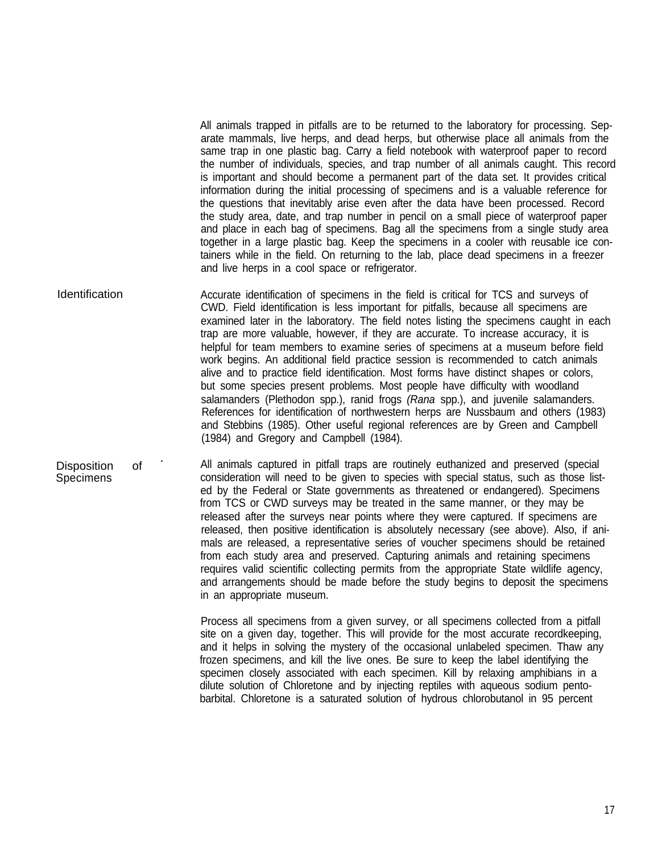All animals trapped in pitfalls are to be returned to the laboratory for processing. Separate mammals, live herps, and dead herps, but otherwise place all animals from the same trap in one plastic bag. Carry a field notebook with waterproof paper to record the number of individuals, species, and trap number of all animals caught. This record is important and should become a permanent part of the data set. It provides critical information during the initial processing of specimens and is a valuable reference for the questions that inevitably arise even after the data have been processed. Record the study area, date, and trap number in pencil on a small piece of waterproof paper and place in each bag of specimens. Bag all the specimens from a single study area together in a large plastic bag. Keep the specimens in a cooler with reusable ice containers while in the field. On returning to the lab, place dead specimens in a freezer and live herps in a cool space or refrigerator.

- Identification Accurate identification of specimens in the field is critical for TCS and surveys of CWD. Field identification is less important for pitfalls, because all specimens are examined later in the laboratory. The field notes listing the specimens caught in each trap are more valuable, however, if they are accurate. To increase accuracy, it is helpful for team members to examine series of specimens at a museum before field work begins. An additional field practice session is recommended to catch animals alive and to practice field identification. Most forms have distinct shapes or colors, but some species present problems. Most people have difficulty with woodland salamanders (Plethodon spp.), ranid frogs *(Rana* spp.), and juvenile salamanders. References for identification of northwestern herps are Nussbaum and others (1983) and Stebbins (1985). Other useful regional references are by Green and Campbell (1984) and Gregory and Campbell (1984).
- Disposition of **Specimens** All animals captured in pitfall traps are routinely euthanized and preserved (special consideration will need to be given to species with special status, such as those listed by the Federal or State governments as threatened or endangered). Specimens from TCS or CWD surveys may be treated in the same manner, or they may be released after the surveys near points where they were captured. If specimens are released, then positive identification is absolutely necessary (see above). Also, if animals are released, a representative series of voucher specimens should be retained from each study area and preserved. Capturing animals and retaining specimens requires valid scientific collecting permits from the appropriate State wildlife agency, and arrangements should be made before the study begins to deposit the specimens in an appropriate museum.

Process all specimens from a given survey, or all specimens collected from a pitfall site on a given day, together. This will provide for the most accurate recordkeeping, and it helps in solving the mystery of the occasional unlabeled specimen. Thaw any frozen specimens, and kill the live ones. Be sure to keep the label identifying the specimen closely associated with each specimen. Kill by relaxing amphibians in a dilute solution of Chloretone and by injecting reptiles with aqueous sodium pentobarbital. Chloretone is a saturated solution of hydrous chlorobutanol in 95 percent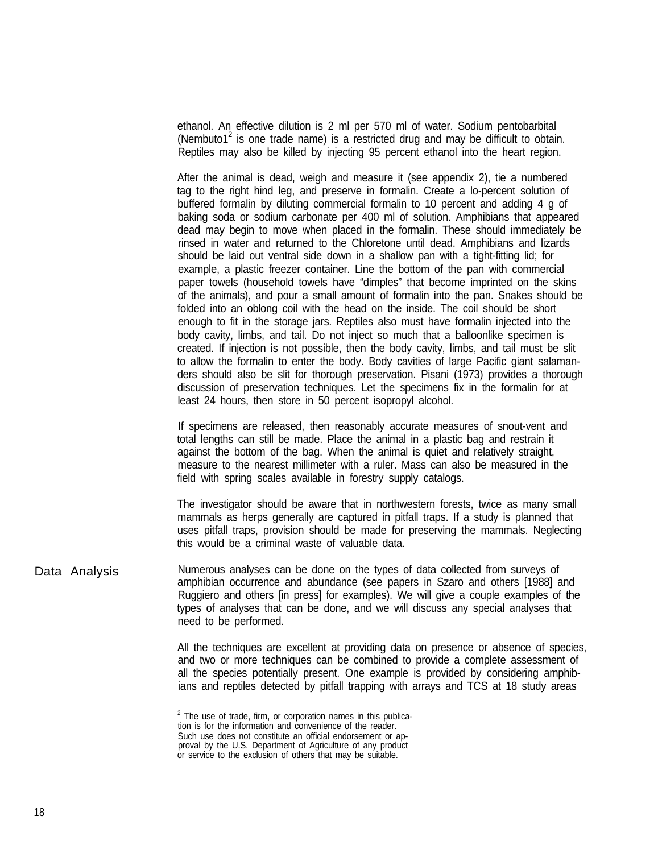ethanol. An effective dilution is 2 ml per 570 ml of water. Sodium pentobarbital (Nembuto1 $2$  is one trade name) is a restricted drug and may be difficult to obtain. Reptiles may also be killed by injecting 95 percent ethanol into the heart region.

After the animal is dead, weigh and measure it (see appendix 2), tie a numbered tag to the right hind leg, and preserve in formalin. Create a lo-percent solution of buffered formalin by diluting commercial formalin to 10 percent and adding 4 g of baking soda or sodium carbonate per 400 ml of solution. Amphibians that appeared dead may begin to move when placed in the formalin. These should immediately be rinsed in water and returned to the Chloretone until dead. Amphibians and lizards should be laid out ventral side down in a shallow pan with a tight-fitting lid; for example, a plastic freezer container. Line the bottom of the pan with commercial paper towels (household towels have "dimples" that become imprinted on the skins of the animals), and pour a small amount of formalin into the pan. Snakes should be folded into an oblong coil with the head on the inside. The coil should be short enough to fit in the storage jars. Reptiles also must have formalin injected into the body cavity, limbs, and tail. Do not inject so much that a balloonlike specimen is created. If injection is not possible, then the body cavity, limbs, and tail must be slit to allow the formalin to enter the body. Body cavities of large Pacific giant salamanders should also be slit for thorough preservation. Pisani (1973) provides a thorough discussion of preservation techniques. Let the specimens fix in the formalin for at least 24 hours, then store in 50 percent isopropyl alcohol.

If specimens are released, then reasonably accurate measures of snout-vent and total lengths can still be made. Place the animal in a plastic bag and restrain it against the bottom of the bag. When the animal is quiet and relatively straight, measure to the nearest millimeter with a ruler. Mass can also be measured in the field with spring scales available in forestry supply catalogs.

The investigator should be aware that in northwestern forests, twice as many small mammals as herps generally are captured in pitfall traps. If a study is planned that uses pitfall traps, provision should be made for preserving the mammals. Neglecting this would be a criminal waste of valuable data.

Data Analysis Mumerous analyses can be done on the types of data collected from surveys of amphibian occurrence and abundance (see papers in Szaro and others [1988] and Ruggiero and others [in press] for examples). We will give a couple examples of the types of analyses that can be done, and we will discuss any special analyses that need to be performed.

> All the techniques are excellent at providing data on presence or absence of species, and two or more techniques can be combined to provide a complete assessment of all the species potentially present. One example is provided by considering amphibians and reptiles detected by pitfall trapping with arrays and TCS at 18 study areas

 $2$  The use of trade, firm, or corporation names in this publica-

tion is for the information and convenience of the reader.

Such use does not constitute an official endorsement or ap-

proval by the U.S. Department of Agriculture of any product or service to the exclusion of others that may be suitable.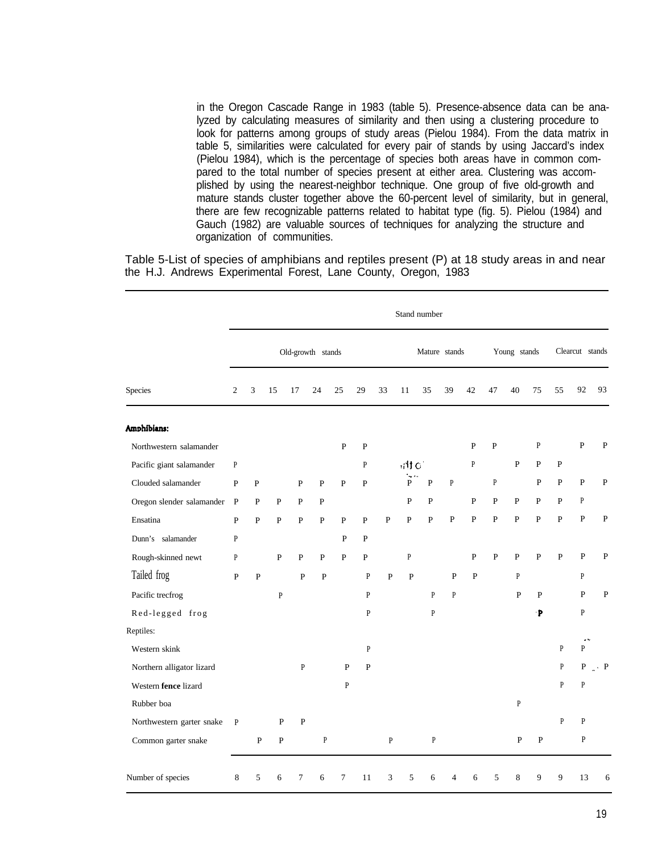in the Oregon Cascade Range in 1983 (table 5). Presence-absence data can be analyzed by calculating measures of similarity and then using a clustering procedure to look for patterns among groups of study areas (Pielou 1984). From the data matrix in table 5, similarities were calculated for every pair of stands by using Jaccard's index (Pielou 1984), which is the percentage of species both areas have in common compared to the total number of species present at either area. Clustering was accomplished by using the nearest-neighbor technique. One group of five old-growth and mature stands cluster together above the 60-percent level of similarity, but in general, there are few recognizable patterns related to habitat type (fig. 5). Pielou (1984) and Gauch (1982) are valuable sources of techniques for analyzing the structure and organization of communities.

Table 5-List of species of amphibians and reptiles present (P) at 18 study areas in and near the H.J. Andrews Experimental Forest, Lane County, Oregon, 1983

|                             |                   |              |              |              |              |              |              |              | Stand number  |              |              |              |              |              |              |                 |                       |                |
|-----------------------------|-------------------|--------------|--------------|--------------|--------------|--------------|--------------|--------------|---------------|--------------|--------------|--------------|--------------|--------------|--------------|-----------------|-----------------------|----------------|
|                             | Old-growth stands |              |              |              |              |              |              |              | Mature stands |              |              |              | Young stands |              |              | Clearcut stands |                       |                |
| Species                     | 2                 | 3            | 15           | 17           | 24           | 25           | 29           | 33           | 11            | 35           | 39           | 42           | 47           | 40           | 75           | 55              | 92                    | 93             |
| Amphibians:                 |                   |              |              |              |              |              |              |              |               |              |              |              |              |              |              |                 |                       |                |
| Northwestern salamander     |                   |              |              |              |              | $\mathbf{P}$ | $\, {\bf P}$ |              |               |              |              | P            | ${\bf P}$    |              | P            |                 | $\mathbf{P}$          | $\, {\bf P}$   |
| Pacific giant salamander    | P                 |              |              |              |              |              | P            |              | o the         |              |              | ${\bf P}$    |              | ${\bf P}$    | $\mathbf{P}$ | ${\bf P}$       |                       |                |
| Clouded salamander          | P                 | P            |              | $\, {\bf P}$ | $\mathbf{P}$ | $\mathbf{P}$ | ${\bf P}$    |              | $\rm \dot{P}$ | $\mathbf{P}$ | $\, {\bf P}$ |              | P            |              | P            | P               | $\mathbf{P}$          | $\, {\bf P}$   |
| Oregon slender salamander P |                   | P            | P            | $\mathbf{P}$ | $\mathbf{P}$ |              |              |              | ${\bf P}$     | $\, {\bf P}$ |              | $\, {\bf P}$ | $\mathbf{P}$ | $\mathbf{P}$ | $\mathbf{P}$ | P               | P                     |                |
| Ensatina                    | $\mathbf{P}$      | $\mathbf{P}$ | $\mathbf{P}$ | $\mathbf{P}$ | $\mathbf{P}$ | $\mathbf{P}$ | P            | $\mathbf{P}$ | $\mathbf{P}$  | $\mathbf{P}$ | ${\bf P}$    | ${\bf P}$    | ${\bf P}$    | ${\bf P}$    | $\mathbf{P}$ | $\mathbf{P}$    | $\, {\bf P}$          | ${\bf P}$      |
| Dunn's salamander           | P                 |              |              |              |              | $\mathbf{P}$ | $\, {\bf P}$ |              |               |              |              |              |              |              |              |                 |                       |                |
| Rough-skinned newt          | P                 |              | P            | $\mathbf{P}$ | ${\bf P}$    | $\mathbf{P}$ | P            |              | P             |              |              | $\mathbf{P}$ | $\mathbf{P}$ | $\mathbf{P}$ | $\mathbf{P}$ | $\mathbf{P}$    | $\mathbf P$           | ${\bf P}$      |
| Tailed frog                 | $\mathbf{P}$      | $\, {\bf P}$ |              | $\mathbf{P}$ | $\mathbf{P}$ |              | $\, {\bf P}$ | $\mathbf{P}$ | $\mathbf{P}$  |              | $\mathbf{P}$ | $\mathbf{P}$ |              | $\, {\bf p}$ |              |                 | ${\bf P}$             |                |
| Pacific trecfrog            |                   |              | ${\bf P}$    |              |              |              | ${\bf P}$    |              |               | $\mathbf{P}$ | $\mathbf{P}$ |              |              | $\mathbf{P}$ | $\mathbf{P}$ |                 | ${\bf P}$             | $\, {\bf P}$   |
| Red-legged frog             |                   |              |              |              |              |              | P            |              |               | P            |              |              |              |              | $\mathbf{P}$ |                 | $\mathbf{P}$          |                |
| Reptiles:                   |                   |              |              |              |              |              |              |              |               |              |              |              |              |              |              |                 |                       |                |
| Western skink               |                   |              |              |              |              |              | $\mathbf{P}$ |              |               |              |              |              |              |              |              | P               | $\bullet$ $\tau$<br>P |                |
| Northern alligator lizard   |                   |              |              | P            |              | $\mathbf{P}$ | $\mathbf{P}$ |              |               |              |              |              |              |              |              | P               | $\mathbf{P}$          | $\therefore$ P |
| Western fence lizard        |                   |              |              |              |              | $\mathbf{P}$ |              |              |               |              |              |              |              |              |              | $\mathsf{P}$    | $\mathsf{P}$          |                |
| Rubber boa                  |                   |              |              |              |              |              |              |              |               |              |              |              |              | P            |              |                 |                       |                |
| Northwestern garter snake   | P                 |              | P            | ${\bf P}$    |              |              |              |              |               |              |              |              |              |              |              | P               | ${\bf P}$             |                |
| Common garter snake         |                   | ${\bf P}$    | ${\bf P}$    |              | ${\bf P}$    |              |              | P            |               | ${\bf P}$    |              |              |              | P            | ${\bf P}$    |                 | P                     |                |
| Number of species           | 8                 | 5            | 6            | 7            | 6            | 7            | 11           | 3            | 5             | 6            | 4            | 6            | 5            | 8            | 9            | 9               | 13                    | 6              |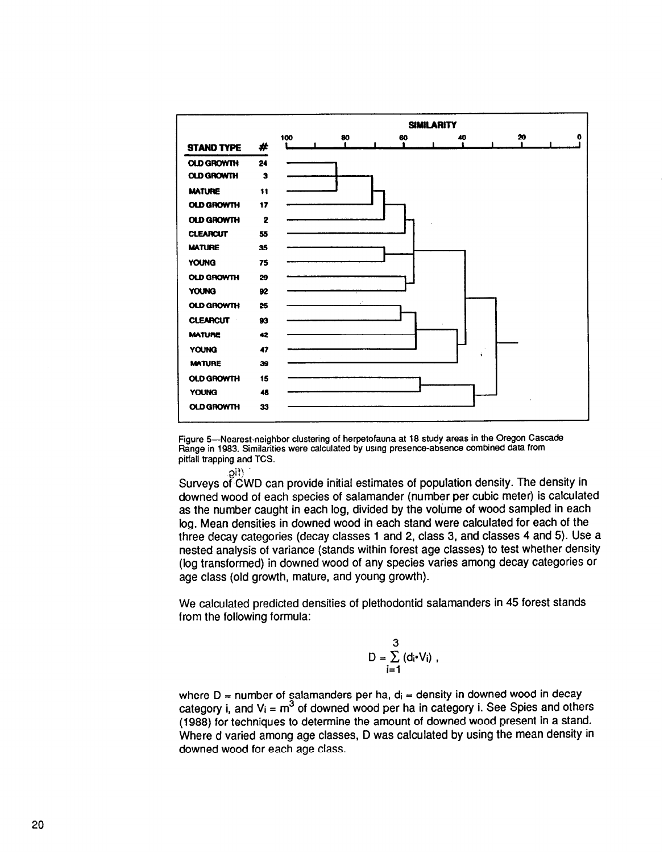

Figure 5-Nearest-neighbor clustering of herpetofauna at 18 study areas in the Oregon Cascade Range in 1983. Similarities were calculated by using presence-absence combined data from pitfall trapping and TCS.

.bit)

Surveys of CWD can provide initial estimates of population density. The density in downed wood of each species of salamander (number per cubic meter) is calculated as the number caught in each log, divided by the volume of wood sampled in each log. Mean densities in downed wood in each stand were calculated for each of the three decay categories (decay classes 1 and 2, class 3, and classes 4 and 5). Use a nested analysis of variance (stands within forest age classes) to test whether density (log transformed) in downed wood of any species varies among decay categories or age class (old growth, mature, and young growth).

We calculated predicted densities of plethodontid salamanders in 45 forest stands from the following formula:

$$
D = \sum_{i=1}^{3} (di \cdot V_i) ,
$$

where  $D =$  number of salamanders per ha,  $d_i =$  density in downed wood in decay category i, and  $V_i = m^3$  of downed wood per ha in category i. See Spies and others (1988) for techniques to determine the amount of downed wood present in a stand. Where d varied among age classes, D was calculated by using the mean density in downed wood for each age class.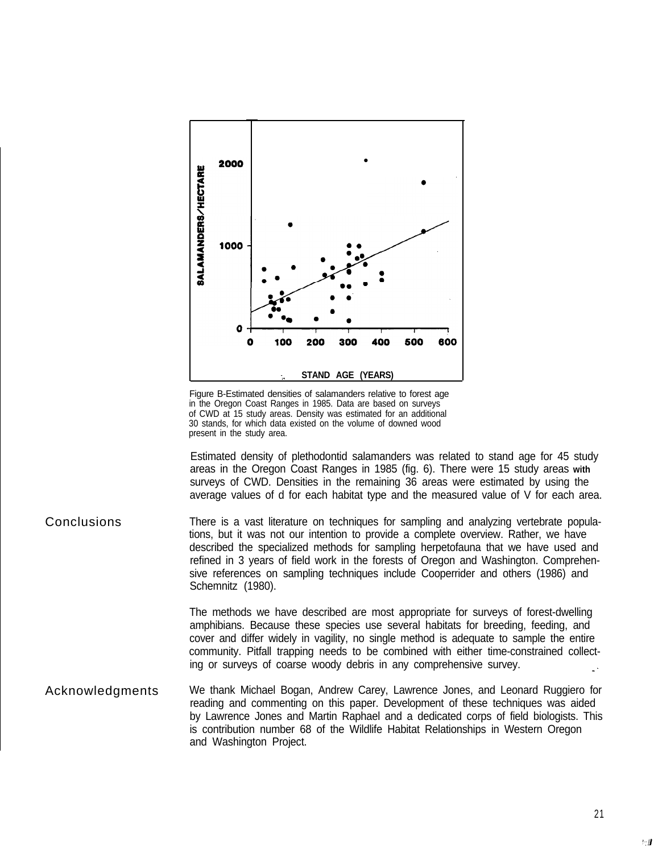

Figure B-Estimated densities of salamanders relative to forest age in the Oregon Coast Ranges in 1985. Data are based on surveys of CWD at 15 study areas. Density was estimated for an additional 30 stands, for which data existed on the volume of downed wood present in the study area.

Estimated density of plethodontid salamanders was related to stand age for 45 study areas in the Oregon Coast Ranges in 1985 (fig. 6). There were 15 study areas **with** surveys of CWD. Densities in the remaining 36 areas were estimated by using the average values of d for each habitat type and the measured value of V for each area.

Conclusions There is a vast literature on techniques for sampling and analyzing vertebrate populations, but it was not our intention to provide a complete overview. Rather, we have described the specialized methods for sampling herpetofauna that we have used and refined in 3 years of field work in the forests of Oregon and Washington. Comprehensive references on sampling techniques include Cooperrider and others (1986) and Schemnitz (1980).

> The methods we have described are most appropriate for surveys of forest-dwelling amphibians. Because these species use several habitats for breeding, feeding, and cover and differ widely in vagility, no single method is adequate to sample the entire community. Pitfall trapping needs to be combined with either time-constrained collecting or surveys of coarse woody debris in any comprehensive survey.

Acknowledgments We thank Michael Bogan, Andrew Carey, Lawrence Jones, and Leonard Ruggiero for reading and commenting on this paper. Development of these techniques was aided by Lawrence Jones and Martin Raphael and a dedicated corps of field biologists. This is contribution number 68 of the Wildlife Habitat Relationships in Western Oregon and Washington Project.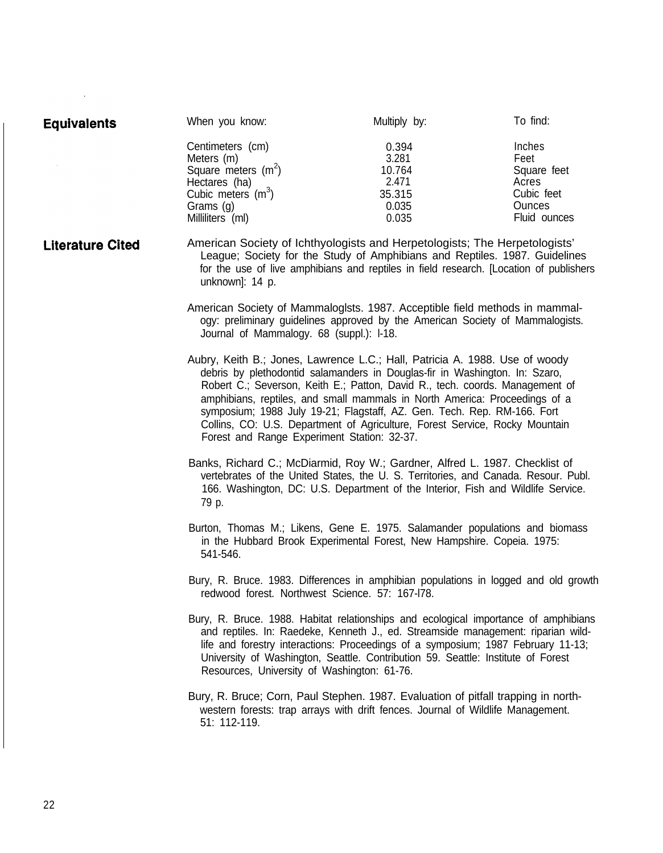| <b>Equivalents</b>      | When you know:                                                                                                                                                                                                                                                                                                                                                                                                                                                                                                                    | Multiply by:                                                  | To find:                                                                              |  |  |  |  |  |  |
|-------------------------|-----------------------------------------------------------------------------------------------------------------------------------------------------------------------------------------------------------------------------------------------------------------------------------------------------------------------------------------------------------------------------------------------------------------------------------------------------------------------------------------------------------------------------------|---------------------------------------------------------------|---------------------------------------------------------------------------------------|--|--|--|--|--|--|
|                         | Centimeters (cm)<br>Meters (m)<br>Square meters $(m2)$<br>Hectares (ha)<br>Cubic meters $(m^3)$<br>Grams (g)<br>Milliliters (ml)                                                                                                                                                                                                                                                                                                                                                                                                  | 0.394<br>3.281<br>10.764<br>2.471<br>35.315<br>0.035<br>0.035 | Inches<br>Feet<br>Square feet<br>Acres<br>Cubic feet<br><b>Ounces</b><br>Fluid ounces |  |  |  |  |  |  |
| <b>Literature Cited</b> | American Society of Ichthyologists and Herpetologists; The Herpetologists'<br>League; Society for the Study of Amphibians and Reptiles. 1987. Guidelines<br>for the use of live amphibians and reptiles in field research. [Location of publishers<br>unknown]: 14 p.                                                                                                                                                                                                                                                             |                                                               |                                                                                       |  |  |  |  |  |  |
|                         | American Society of Mammaloglsts. 1987. Acceptible field methods in mammal-<br>ogy: preliminary guidelines approved by the American Society of Mammalogists.<br>Journal of Mammalogy. 68 (suppl.): I-18.                                                                                                                                                                                                                                                                                                                          |                                                               |                                                                                       |  |  |  |  |  |  |
|                         | Aubry, Keith B.; Jones, Lawrence L.C.; Hall, Patricia A. 1988. Use of woody<br>debris by plethodontid salamanders in Douglas-fir in Washington. In: Szaro,<br>Robert C.; Severson, Keith E.; Patton, David R., tech. coords. Management of<br>amphibians, reptiles, and small mammals in North America: Proceedings of a<br>symposium; 1988 July 19-21; Flagstaff, AZ. Gen. Tech. Rep. RM-166. Fort<br>Collins, CO: U.S. Department of Agriculture, Forest Service, Rocky Mountain<br>Forest and Range Experiment Station: 32-37. |                                                               |                                                                                       |  |  |  |  |  |  |
|                         | Banks, Richard C.; McDiarmid, Roy W.; Gardner, Alfred L. 1987. Checklist of<br>vertebrates of the United States, the U. S. Territories, and Canada. Resour. Publ.<br>166. Washington, DC: U.S. Department of the Interior, Fish and Wildlife Service.<br>79 p.                                                                                                                                                                                                                                                                    |                                                               |                                                                                       |  |  |  |  |  |  |
|                         | Burton, Thomas M.; Likens, Gene E. 1975. Salamander populations and biomass<br>in the Hubbard Brook Experimental Forest, New Hampshire. Copeia. 1975:<br>541-546.                                                                                                                                                                                                                                                                                                                                                                 |                                                               |                                                                                       |  |  |  |  |  |  |
|                         | Bury, R. Bruce. 1983. Differences in amphibian populations in logged and old growth<br>redwood forest. Northwest Science. 57: 167-178.                                                                                                                                                                                                                                                                                                                                                                                            |                                                               |                                                                                       |  |  |  |  |  |  |
|                         | Bury, R. Bruce. 1988. Habitat relationships and ecological importance of amphibians<br>and reptiles. In: Raedeke, Kenneth J., ed. Streamside management: riparian wild-<br>life and forestry interactions: Proceedings of a symposium; 1987 February 11-13;<br>University of Washington, Seattle. Contribution 59. Seattle: Institute of Forest<br>Resources, University of Washington: 61-76.                                                                                                                                    |                                                               |                                                                                       |  |  |  |  |  |  |
|                         | Bury, R. Bruce; Corn, Paul Stephen. 1987. Evaluation of pitfall trapping in north-<br>western forests: trap arrays with drift fences. Journal of Wildlife Management.<br>51: 112-119.                                                                                                                                                                                                                                                                                                                                             |                                                               |                                                                                       |  |  |  |  |  |  |
|                         |                                                                                                                                                                                                                                                                                                                                                                                                                                                                                                                                   |                                                               |                                                                                       |  |  |  |  |  |  |

 $\ddot{\phantom{a}}$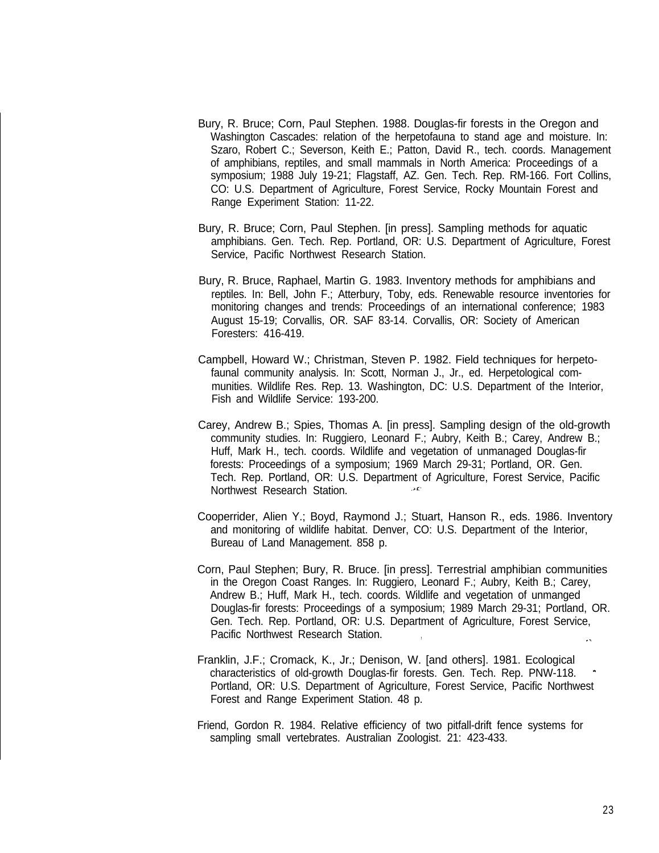- Bury, R. Bruce; Corn, Paul Stephen. 1988. Douglas-fir forests in the Oregon and Washington Cascades: relation of the herpetofauna to stand age and moisture. In: Szaro, Robert C.; Severson, Keith E.; Patton, David R., tech. coords. Management of amphibians, reptiles, and small mammals in North America: Proceedings of a symposium; 1988 July 19-21; Flagstaff, AZ. Gen. Tech. Rep. RM-166. Fort Collins, CO: U.S. Department of Agriculture, Forest Service, Rocky Mountain Forest and Range Experiment Station: 11-22.
- Bury, R. Bruce; Corn, Paul Stephen. [in press]. Sampling methods for aquatic amphibians. Gen. Tech. Rep. Portland, OR: U.S. Department of Agriculture, Forest Service, Pacific Northwest Research Station.
- Bury, R. Bruce, Raphael, Martin G. 1983. Inventory methods for amphibians and reptiles. In: Bell, John F.; Atterbury, Toby, eds. Renewable resource inventories for monitoring changes and trends: Proceedings of an international conference; 1983 August 15-19; Corvallis, OR. SAF 83-14. Corvallis, OR: Society of American Foresters: 416-419.
- Campbell, Howard W.; Christman, Steven P. 1982. Field techniques for herpetofaunal community analysis. In: Scott, Norman J., Jr., ed. Herpetological communities. Wildlife Res. Rep. 13. Washington, DC: U.S. Department of the Interior, Fish and Wildlife Service: 193-200.
- Carey, Andrew B.; Spies, Thomas A. [in press]. Sampling design of the old-growth community studies. In: Ruggiero, Leonard F.; Aubry, Keith B.; Carey, Andrew B.; Huff, Mark H., tech. coords. Wildlife and vegetation of unmanaged Douglas-fir forests: Proceedings of a symposium; 1969 March 29-31; Portland, OR. Gen. Tech. Rep. Portland, OR: U.S. Department of Agriculture, Forest Service, Pacific Northwest Research Station.
- Cooperrider, Alien Y.; Boyd, Raymond J.; Stuart, Hanson R., eds. 1986. Inventory and monitoring of wildlife habitat. Denver, CO: U.S. Department of the Interior, Bureau of Land Management. 858 p.
- Corn, Paul Stephen; Bury, R. Bruce. [in press]. Terrestrial amphibian communities in the Oregon Coast Ranges. In: Ruggiero, Leonard F.; Aubry, Keith B.; Carey, Andrew B.; Huff, Mark H., tech. coords. Wildlife and vegetation of unmanged Douglas-fir forests: Proceedings of a symposium; 1989 March 29-31; Portland, OR. Gen. Tech. Rep. Portland, OR: U.S. Department of Agriculture, Forest Service, Pacific Northwest Research Station. ,.
- Franklin, J.F.; Cromack, K., Jr.; Denison, W. [and others]. 1981. Ecological characteristics of old-growth Douglas-fir forests. Gen. Tech. Rep. PNW-118. Portland, OR: U.S. Department of Agriculture, Forest Service, Pacific Northwest Forest and Range Experiment Station. 48 p.
- Friend, Gordon R. 1984. Relative efficiency of two pitfall-drift fence systems for sampling small vertebrates. Australian Zoologist. 21: 423-433.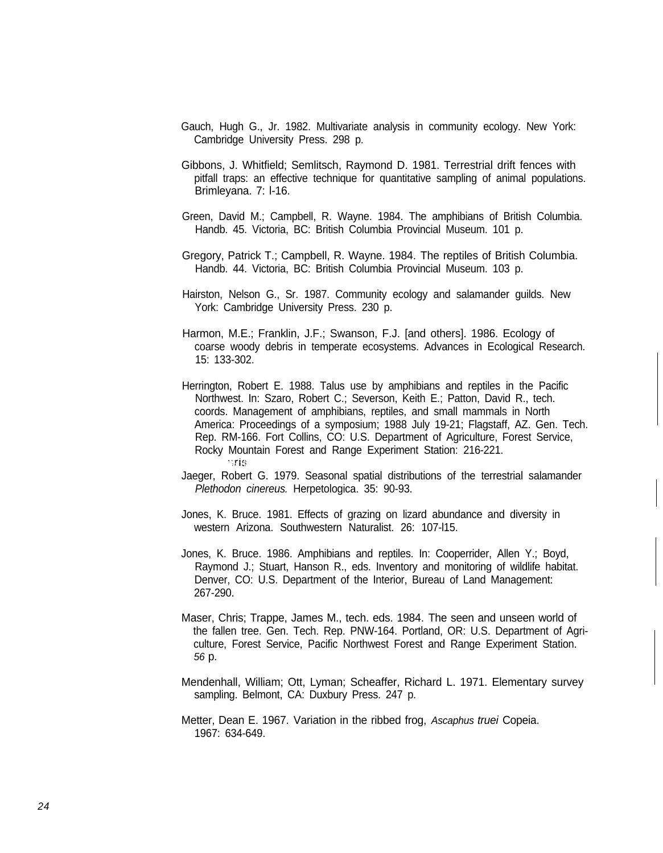- Gauch, Hugh G., Jr. 1982. Multivariate analysis in community ecology. New York: Cambridge University Press. 298 p.
- Gibbons, J. Whitfield; Semlitsch, Raymond D. 1981. Terrestrial drift fences with pitfall traps: an effective technique for quantitative sampling of animal populations. Brimleyana. 7: l-16.
- Green, David M.; Campbell, R. Wayne. 1984. The amphibians of British Columbia. Handb. 45. Victoria, BC: British Columbia Provincial Museum. 101 p.
- Gregory, Patrick T.; Campbell, R. Wayne. 1984. The reptiles of British Columbia. Handb. 44. Victoria, BC: British Columbia Provincial Museum. 103 p.
- Hairston, Nelson G., Sr. 1987. Community ecology and salamander guilds. New York: Cambridge University Press. 230 p.
- Harmon, M.E.; Franklin, J.F.; Swanson, F.J. [and others]. 1986. Ecology of coarse woody debris in temperate ecosystems. Advances in Ecological Research. 15: 133-302.
- Herrington, Robert E. 1988. Talus use by amphibians and reptiles in the Pacific Northwest. In: Szaro, Robert C.; Severson, Keith E.; Patton, David R., tech. coords. Management of amphibians, reptiles, and small mammals in North America: Proceedings of a symposium; 1988 July 19-21; Flagstaff, AZ. Gen. Tech. Rep. RM-166. Fort Collins, CO: U.S. Department of Agriculture, Forest Service, Rocky Mountain Forest and Range Experiment Station: 216-221.  $\cdot$ :ris
- Jaeger, Robert G. 1979. Seasonal spatial distributions of the terrestrial salamander *Plethodon cinereus.* Herpetologica. 35: 90-93.
- Jones, K. Bruce. 1981. Effects of grazing on lizard abundance and diversity in western Arizona. Southwestern Naturalist. 26: 107-l15.
- Jones, K. Bruce. 1986. Amphibians and reptiles. In: Cooperrider, Allen Y.; Boyd, Raymond J.; Stuart, Hanson R., eds. Inventory and monitoring of wildlife habitat. Denver, CO: U.S. Department of the Interior, Bureau of Land Management: 267-290.
- Maser, Chris; Trappe, James M., tech. eds. 1984. The seen and unseen world of the fallen tree. Gen. Tech. Rep. PNW-164. Portland, OR: U.S. Department of Agriculture, Forest Service, Pacific Northwest Forest and Range Experiment Station. *56* p.
- Mendenhall, William; Ott, Lyman; Scheaffer, Richard L. 1971. Elementary survey sampling. Belmont, CA: Duxbury Press. 247 p.
- Metter, Dean E. 1967. Variation in the ribbed frog, *Ascaphus truei* Copeia. 1967: 634-649.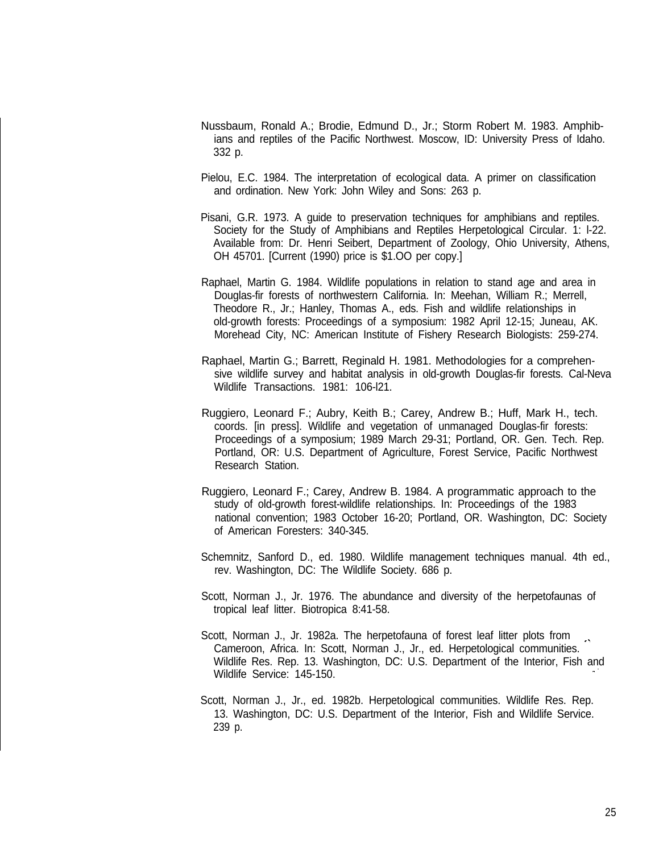- Nussbaum, Ronald A.; Brodie, Edmund D., Jr.; Storm Robert M. 1983. Amphibians and reptiles of the Pacific Northwest. Moscow, ID: University Press of Idaho. 332 p.
- Pielou, E.C. 1984. The interpretation of ecological data. A primer on classification and ordination. New York: John Wiley and Sons: 263 p.
- Pisani, G.R. 1973. A guide to preservation techniques for amphibians and reptiles. Society for the Study of Amphibians and Reptiles Herpetological Circular. 1: l-22. Available from: Dr. Henri Seibert, Department of Zoology, Ohio University, Athens, OH 45701. [Current (1990) price is \$1.OO per copy.]
- Raphael, Martin G. 1984. Wildlife populations in relation to stand age and area in Douglas-fir forests of northwestern California. In: Meehan, William R.; Merrell, Theodore R., Jr.; Hanley, Thomas A., eds. Fish and wildlife relationships in old-growth forests: Proceedings of a symposium: 1982 April 12-15; Juneau, AK. Morehead City, NC: American Institute of Fishery Research Biologists: 259-274.
- Raphael, Martin G.; Barrett, Reginald H. 1981. Methodologies for a comprehensive wildlife survey and habitat analysis in old-growth Douglas-fir forests. Cal-Neva Wildlife Transactions. 1981: 106-l21.
- Ruggiero, Leonard F.; Aubry, Keith B.; Carey, Andrew B.; Huff, Mark H., tech. coords. [in press]. Wildlife and vegetation of unmanaged Douglas-fir forests: Proceedings of a symposium; 1989 March 29-31; Portland, OR. Gen. Tech. Rep. Portland, OR: U.S. Department of Agriculture, Forest Service, Pacific Northwest Research Station.
- Ruggiero, Leonard F.; Carey, Andrew B. 1984. A programmatic approach to the study of old-growth forest-wildlife relationships. In: Proceedings of the 1983 national convention; 1983 October 16-20; Portland, OR. Washington, DC: Society of American Foresters: 340-345.
- Schemnitz, Sanford D., ed. 1980. Wildlife management techniques manual. 4th ed., rev. Washington, DC: The Wildlife Society. 686 p.
- Scott, Norman J., Jr. 1976. The abundance and diversity of the herpetofaunas of tropical leaf litter. Biotropica 8:41-58.
- Scott, Norman J., Jr. 1982a. The herpetofauna of forest leaf litter plots from Cameroon, Africa. In: Scott, Norman J., Jr., ed. Herpetological communities. Wildlife Res. Rep. 13. Washington, DC: U.S. Department of the Interior, Fish and Wildlife Service: 145-150
- Scott, Norman J., Jr., ed. 1982b. Herpetological communities. Wildlife Res. Rep. 13. Washington, DC: U.S. Department of the Interior, Fish and Wildlife Service. 239 p.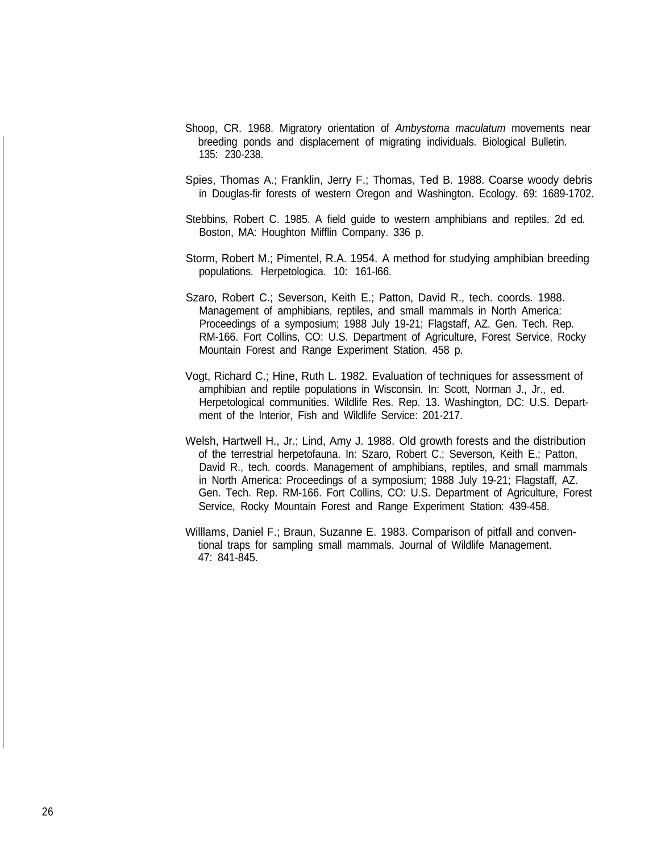- Shoop, CR. 1968. Migratory orientation of *Ambystoma maculatum* movements near breeding ponds and displacement of migrating individuals. Biological Bulletin. 135: 230-238.
- Spies, Thomas A.; Franklin, Jerry F.; Thomas, Ted B. 1988. Coarse woody debris in Douglas-fir forests of western Oregon and Washington. Ecology. 69: 1689-1702.
- Stebbins, Robert C. 1985. A field guide to western amphibians and reptiles. 2d ed. Boston, MA: Houghton Mifflin Company. 336 p.
- Storm, Robert M.; Pimentel, R.A. 1954. A method for studying amphibian breeding populations. Herpetologica. 10: 161-l66.
- Szaro, Robert C.; Severson, Keith E.; Patton, David R., tech. coords. 1988. Management of amphibians, reptiles, and small mammals in North America: Proceedings of a symposium; 1988 July 19-21; Flagstaff, AZ. Gen. Tech. Rep. RM-166. Fort Collins, CO: U.S. Department of Agriculture, Forest Service, Rocky Mountain Forest and Range Experiment Station. 458 p.
- Vogt, Richard C.; Hine, Ruth L. 1982. Evaluation of techniques for assessment of amphibian and reptile populations in Wisconsin. In: Scott, Norman J., Jr., ed. Herpetological communities. Wildlife Res. Rep. 13. Washington, DC: U.S. Department of the Interior, Fish and Wildlife Service: 201-217.
- Welsh, Hartwell H., Jr.; Lind, Amy J. 1988. Old growth forests and the distribution of the terrestrial herpetofauna. In: Szaro, Robert C.; Severson, Keith E.; Patton, David R., tech. coords. Management of amphibians, reptiles, and small mammals in North America: Proceedings of a symposium; 1988 July 19-21; Flagstaff, AZ. Gen. Tech. Rep. RM-166. Fort Collins, CO: U.S. Department of Agriculture, Forest Service, Rocky Mountain Forest and Range Experiment Station: 439-458.
- Willlams, Daniel F.; Braun, Suzanne E. 1983. Comparison of pitfall and conventional traps for sampling small mammals. Journal of Wildlife Management. 47: 841-845.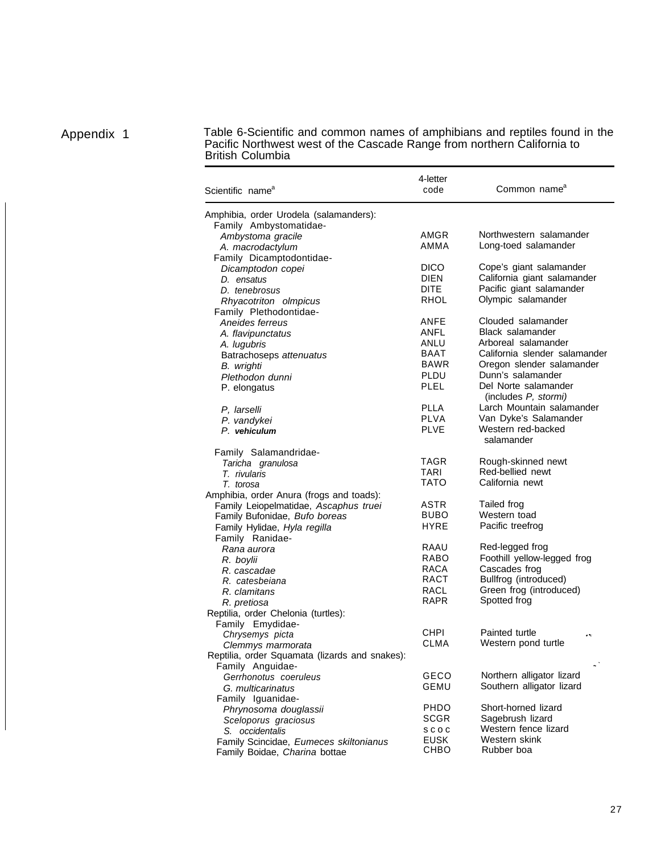### Appendix 1 Table 6-Scientific and common names of amphibians and reptiles found in the Pacific Northwest west of the Cascade Range from northern California to British Columbia

| Scientific name <sup>a</sup>                   | 4-letter<br>code    | Common name <sup>a</sup>                          |
|------------------------------------------------|---------------------|---------------------------------------------------|
| Amphibia, order Urodela (salamanders):         |                     |                                                   |
| Family Ambystomatidae-                         |                     |                                                   |
| Ambystoma gracile                              | AMGR                | Northwestern salamander                           |
| A. macrodactylum                               | AMMA                | Long-toed salamander                              |
| Family Dicamptodontidae-                       |                     |                                                   |
| Dicamptodon copei                              | <b>DICO</b>         | Cope's giant salamander                           |
| D. ensatus                                     | <b>DIEN</b>         | California giant salamander                       |
| D. tenebrosus                                  | DITE.               | Pacific giant salamander                          |
| Rhyacotriton olmpicus                          | RHOL                | Olympic salamander                                |
| Family Plethodontidae-                         |                     |                                                   |
| Aneides ferreus                                | ANFE                | Clouded salamander                                |
| A. flavipunctatus                              | ANFL                | Black salamander                                  |
| A. lugubris                                    | ANLU                | Arboreal salamander                               |
| Batrachoseps attenuatus                        | BAAT                | California slender salamander                     |
| B. wrighti                                     | <b>BAWR</b>         | Oregon slender salamander                         |
| Plethodon dunni                                | <b>PLDU</b>         | Dunn's salamander                                 |
| P. elongatus                                   | PLEL                | Del Norte salamander                              |
|                                                |                     | (includes P, stormi)<br>Larch Mountain salamander |
| P, larselli                                    | PLLA<br>PLVA        | Van Dyke's Salamander                             |
| P. vandykei                                    | PLVE                | Western red-backed                                |
| P. vehiculum                                   |                     | salamander                                        |
| Family Salamandridae-                          |                     |                                                   |
| Taricha granulosa                              | TAGR                | Rough-skinned newt                                |
| T. rivularis                                   | TARI                | Red-bellied newt                                  |
| T. torosa                                      | <b>TATO</b>         | California newt                                   |
| Amphibia, order Anura (frogs and toads):       |                     |                                                   |
| Family Leiopelmatidae, Ascaphus truei          | ASTR                | Tailed frog<br>Western toad                       |
| Family Bufonidae, Bufo boreas                  | <b>BUBO</b><br>HYRE |                                                   |
| Family Hylidae, Hyla regilla                   |                     | Pacific treefrog                                  |
| Family Ranidae-                                | RAAU                | Red-legged frog                                   |
| Rana aurora                                    | RABO                | Foothill yellow-legged frog                       |
| R. boylii<br>R. cascadae                       | RACA                | Cascades frog                                     |
| R. catesbeiana                                 | RACT                | Bullfrog (introduced)                             |
| R. clamitans                                   | RACL                | Green frog (introduced)                           |
| R. pretiosa                                    | RAPR                | Spotted frog                                      |
| Reptilia, order Chelonia (turtles):            |                     |                                                   |
| Family Emydidae-                               |                     |                                                   |
| Chrysemys picta                                | CHPI                | Painted turtle<br>$\bullet$ $\bullet$             |
| Clemmys marmorata                              | CLMA                | Western pond turtle                               |
| Reptilia, order Squamata (lizards and snakes): |                     |                                                   |
| Family Anguidae-                               |                     | $\mathbf{a}^{(k)}$                                |
| Gerrhonotus coeruleus                          | GECO                | Northern alligator lizard                         |
| G. multicarinatus                              | <b>GEMU</b>         | Southern alligator lizard                         |
| Family Iguanidae-                              |                     |                                                   |
| Phrynosoma douglassii                          | <b>PHDO</b>         | Short-horned lizard                               |
| Sceloporus graciosus                           | <b>SCGR</b>         | Sagebrush lizard                                  |
| S. occidentalis                                | <b>SCOC</b>         | Western fence lizard                              |
| Family Scincidae, Eumeces skiltonianus         | <b>EUSK</b>         | Western skink                                     |
| Family Boidae, Charina bottae                  | CHBO                | Rubber boa                                        |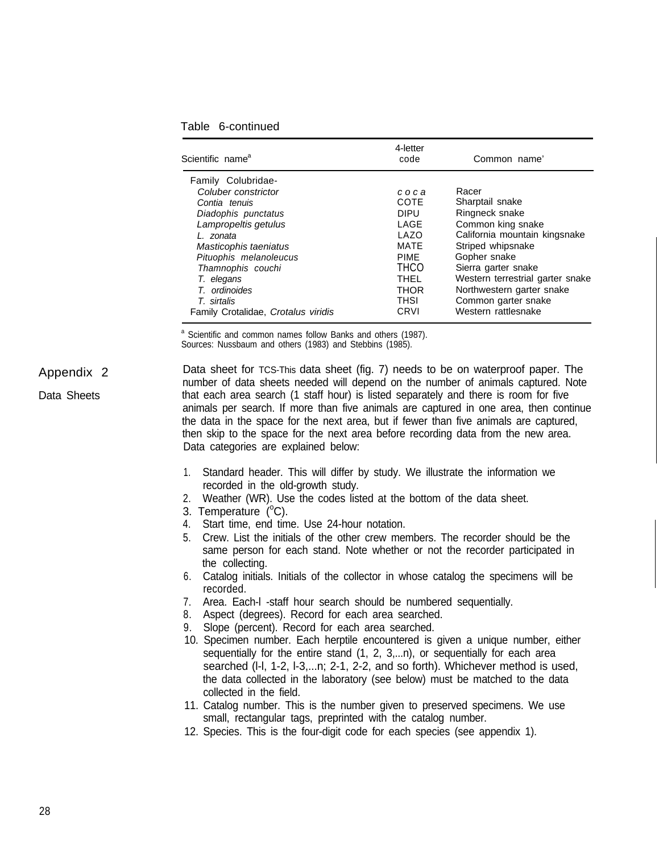Table 6-continued

| Scientific name <sup>a</sup>                                                                                                                                                                                                                                                        | 4-letter<br>code                                                                                                  | Common name'                                                                                                                                                                                                                                                                |
|-------------------------------------------------------------------------------------------------------------------------------------------------------------------------------------------------------------------------------------------------------------------------------------|-------------------------------------------------------------------------------------------------------------------|-----------------------------------------------------------------------------------------------------------------------------------------------------------------------------------------------------------------------------------------------------------------------------|
| Family Colubridae-<br>Coluber constrictor<br>Contia tenuis<br>Diadophis punctatus<br>Lampropeltis getulus<br>L. zonata<br>Masticophis taeniatus<br>Pituophis melanoleucus<br>Thamnophis couchi<br>T. elegans<br>T. ordinoides<br>T. sirtalis<br>Family Crotalidae, Crotalus viridis | coca<br>COTE<br><b>DIPU</b><br>LAGE<br>LAZO<br>MATE<br>PIMF<br>THCO<br>THEL<br><b>THOR</b><br><b>THSI</b><br>CRVI | Racer<br>Sharptail snake<br>Ringneck snake<br>Common king snake<br>California mountain kingsnake<br>Striped whipsnake<br>Gopher snake<br>Sierra garter snake<br>Western terrestrial garter snake<br>Northwestern garter snake<br>Common garter snake<br>Western rattlesnake |

a Scientific and common names follow Banks and others (1987). Sources: Nussbaum and others (1983) and Stebbins (1985).

Appendix 2

Data Sheets

Data sheet for TCS-This data sheet (fig. 7) needs to be on waterproof paper. The number of data sheets needed will depend on the number of animals captured. Note that each area search (1 staff hour) is listed separately and there is room for five animals per search. If more than five animals are captured in one area, then continue the data in the space for the next area, but if fewer than five animals are captured, then skip to the space for the next area before recording data from the new area. Data categories are explained below:

- 1. Standard header. This will differ by study. We illustrate the information we recorded in the old-growth study.
- 2. Weather (WR). Use the codes listed at the bottom of the data sheet.
- 3. Temperature (°C).
- 4. Start time, end time. Use 24-hour notation.
- 5. Crew. List the initials of the other crew members. The recorder should be the same person for each stand. Note whether or not the recorder participated in the collecting.
- 6. Catalog initials. Initials of the collector in whose catalog the specimens will be recorded.
- 7. Area. Each-l -staff hour search should be numbered sequentially.
- 8. Aspect (degrees). Record for each area searched.
- Slope (percent). Record for each area searched.
- 10. Specimen number. Each herptile encountered is given a unique number, either sequentially for the entire stand (1, 2, 3,...n), or sequentially for each area searched (l-l, 1-2, l-3,...n; 2-1, 2-2, and so forth). Whichever method is used, the data collected in the laboratory (see below) must be matched to the data collected in the field.
- 11. Catalog number. This is the number given to preserved specimens. We use small, rectangular tags, preprinted with the catalog number.
- 12. Species. This is the four-digit code for each species (see appendix 1).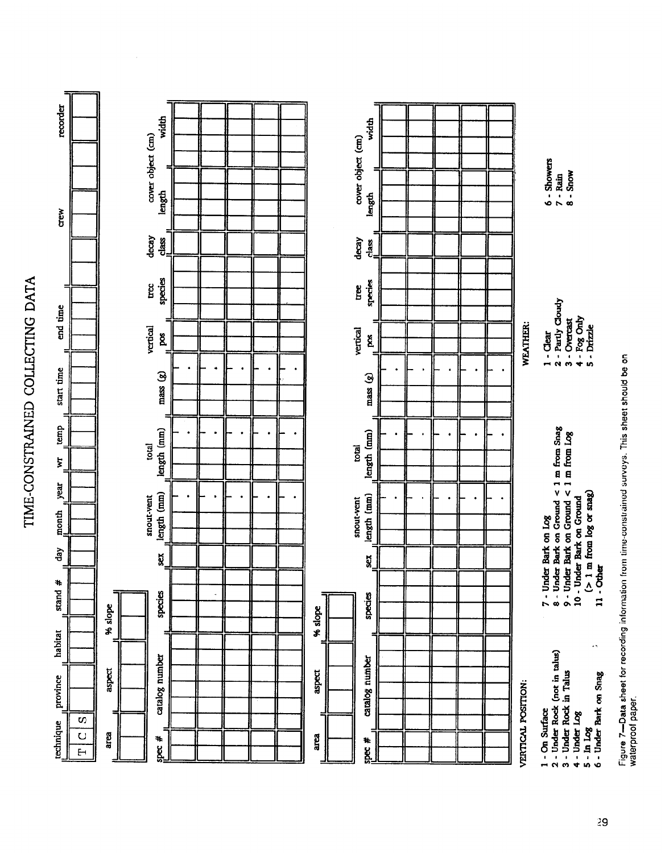$\sum_{i=1}^{\infty} \sum_{i=1}^{\infty} \sum_{i=1}^{\infty} \sum_{i=1}^{\infty} \sum_{i=1}^{\infty} \sum_{i=1}^{\infty} \sum_{i=1}^{\infty} \sum_{i=1}^{\infty} \sum_{i=1}^{\infty} \sum_{i=1}^{\infty} \sum_{i=1}^{\infty} \sum_{i=1}^{\infty} \sum_{i=1}^{\infty} \sum_{i=1}^{\infty} \sum_{i=1}^{\infty} \sum_{i=1}^{\infty} \sum_{i=1}^{\infty} \sum_{i=1}^{\infty} \sum_{i$ recorder width width cover object (cm) covex object (cm) cover object (cm) snout-vent mee decay cover object (cm) 6 - Showers 7-Rain 8 - Snow length length crew decay<br>class decay class species species  $\mathbf{g}$ snout-vent total vertical rree tree 1 - Clear<br>2 - Partly Cloudy end time 2 - Partly Clou 3-overcast WEATHER: vertical vertical VERTICAL FOSlTlON: WEATHER 4<br>5 - Drizle<br>5 - Drizle ğ. ğ<br>S  $\cdot$ . start time  $\text{mass}(\text{g})$  $\max(y)$ temp 7 - Under Bark on Log<br>8 - Under Bark on Ground < 1 m from Snag<br>9 - Under Bark on Ground < 1 m from Log length (mm) length (mm) 8-Under Bark on Ground < 1 m from Sn 9-UnderBarkonGround < I mfromLog total total ₹ month year length (mm) length (mm)  $(> 1$  m from  $log$  or snag) snout-vent 10 - Under Bark on Ground snout-vent 10 - Under Bark on Ground l-onsulface 7 - Under Bark on Log  $(>1$  m from log or day š \$ă 11 -other stand  $#$ species species % slope % slope habitat catalog number ,, Ļ, o - Under Bark on Snag 1 - On Surface<br>2 - Under Rock (not in talus) 2 - Under Rock (not in talus) catalog number catalog number aspect 3 - Under Rock in Talus aspect 5 - In Log<br>6 - Under Bark on Snag technique province VERTICAL POSITION: 3 - Under Rock in T  $4 - UnderLog$  $\overline{\mathbf{s}}$  $4 -$ Underl  $\overline{\mathbf{c}}$ arca area ;Tpec# II spec #  $\overline{F}$ 

TIME-CONSTRAtNED COLLECTING DATA

TIME-CONSTRAINED COLLECTING DATA

Figure 7—Data sheet for recording information from time-constrained surveys. This sheet should be on<br>waterproof paper. Figure 7-Data sheet for recording information from time-constrained surveys. This sheet should be on waterproof paper.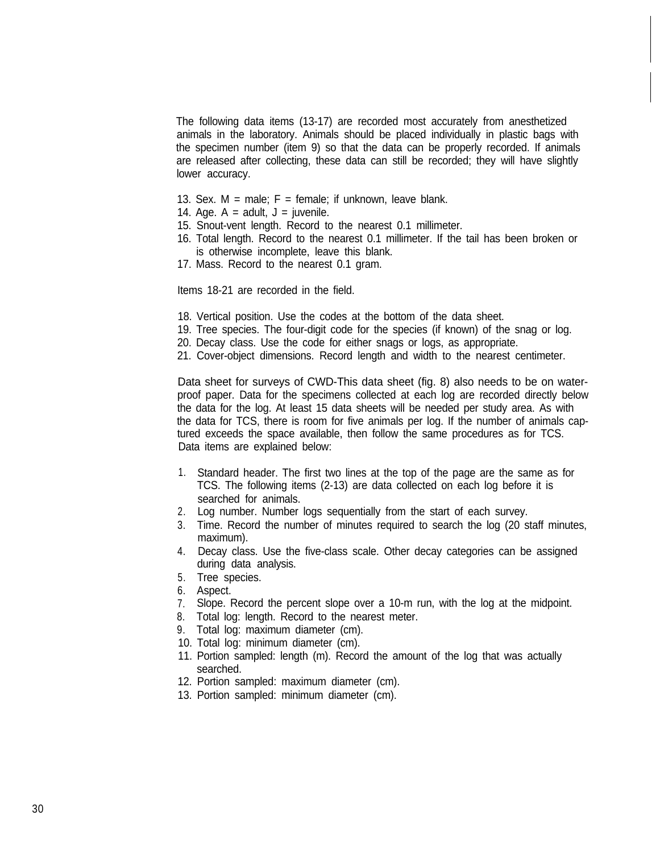The following data items (13-17) are recorded most accurately from anesthetized animals in the laboratory. Animals should be placed individually in plastic bags with the specimen number (item 9) so that the data can be properly recorded. If animals are released after collecting, these data can still be recorded; they will have slightly lower accuracy.

- 13. Sex.  $M =$  male;  $F =$  female; if unknown, leave blank.
- 14. Age.  $A =$  adult,  $J =$  juvenile.
- 15. Snout-vent length. Record to the nearest 0.1 millimeter.
- 16. Total length. Record to the nearest 0.1 millimeter. If the tail has been broken or is otherwise incomplete, leave this blank.
- 17. Mass. Record to the nearest 0.1 gram.

Items 18-21 are recorded in the field.

- 18. Vertical position. Use the codes at the bottom of the data sheet.
- 19. Tree species. The four-digit code for the species (if known) of the snag or log.
- 20. Decay class. Use the code for either snags or logs, as appropriate.
- 21. Cover-object dimensions. Record length and width to the nearest centimeter.

Data sheet for surveys of CWD-This data sheet (fig. 8) also needs to be on waterproof paper. Data for the specimens collected at each log are recorded directly below the data for the log. At least 15 data sheets will be needed per study area. As with the data for TCS, there is room for five animals per log. If the number of animals captured exceeds the space available, then follow the same procedures as for TCS. Data items are explained below:

- 1. Standard header. The first two lines at the top of the page are the same as for TCS. The following items (2-13) are data collected on each log before it is searched for animals.
- 2. Log number. Number logs sequentially from the start of each survey.
- 3. Time. Record the number of minutes required to search the log (20 staff minutes, maximum).
- 4. Decay class. Use the five-class scale. Other decay categories can be assigned during data analysis.
- 5. Tree species.
- 6. Aspect.
- 7. Slope. Record the percent slope over a 10-m run, with the log at the midpoint.
- 8. Total log: length. Record to the nearest meter.
- 9. Total log: maximum diameter (cm).
- 10. Total log: minimum diameter (cm).
- 11. Portion sampled: length (m). Record the amount of the log that was actually searched.
- 12. Portion sampled: maximum diameter (cm).
- 13. Portion sampled: minimum diameter (cm).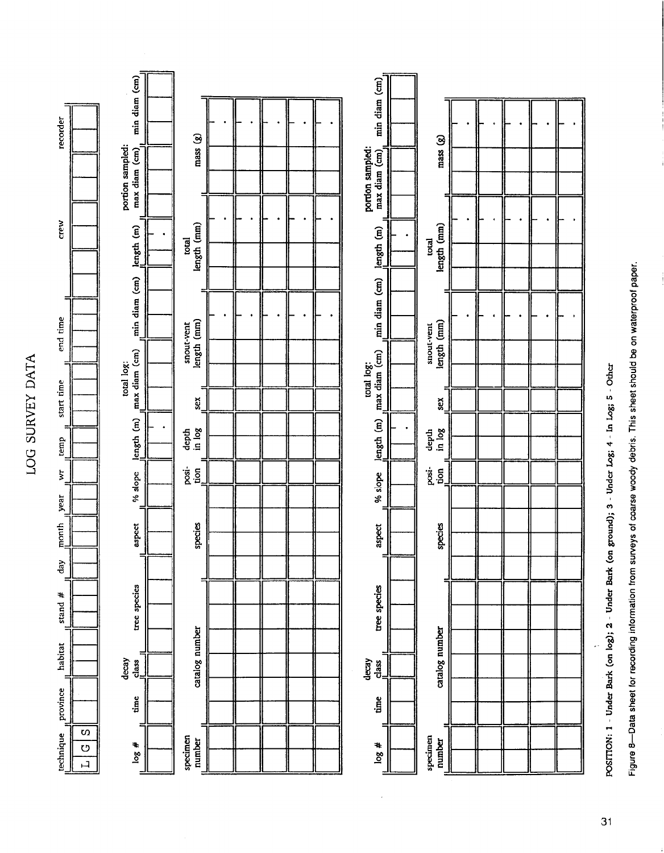uamn-n~ffimmommi3mnmmmm min diam (cm) tree species as aspect we shope length (m) ,max diam (cm) ,min diam (cm) ,max diam (cm) ,min diam (cm) ,min diam (cm) ,min diam (cm) ,min diam (cm) ,min diam (cm) ,min diam (cm) ,min diam (cm) ,min diam (cm) ,min diam (cm) % slope length (m) max diam (cm) min diam (cm) length (m) max diam (cm) min diam (cm) min diam (cm) recorder habitat stand # day month year wr temp start time end time end time crew recorder  $mass<sub>(g)</sub>$  $mass(g)$ portion sampled:<br>max diam (cm). total log:<br> **total log:** portion sampled:<br>max diam (cm)<sub>,</sub> total log: portion sampled: crew total<br>length (mm) length (mm) length  $(m)$ length (m)  $\ddot{\phantom{0}}$ total specimen snout-vent depth depth snow- depth min diam (cm) min diam (cm) end time snout-vent<br>length (mm) snout-vent<br>length (mm) posi- depth snout-vent total log:<br>max diam (cm) total log:<br>max diam (cm) sex sex II-II  $\lim_{n \to \infty}$  $\underset{\scriptscriptstyle \mathfrak{h}}{\text{length}}$  (m)  $\ddot{\phantom{0}}$ depth<br>in log depth<br>in log  $\lim_{n \to \infty}$  $\sum_{i=1}^{n}$ posi-<br>tion posi-<br>1501 % slope % slope year  $\sum_{n=1}^{\infty}$ aspect aspect species species log # ime class are species aspect day tree species tree species stand  $#$ catalog number catalog number catalog number JI-llday-l--J&t habitat time class ,, , decay<br>class decay<br>class province technique province  $\dim$  $\dim\!e$ 1% # ,  $\overline{\mathbf{v}}$ technique specimen specimen number  $# so<sub>1</sub>$  $\#$  801 number O  $\overline{H}$ 

 $\bar{z}$ 

LOG SURVEY DATA

LOG SURVEY DATA

POSITION: 1 - Under Bark (on log); 2 - Under Bark (on ground); 3 - Under Log; 4 - In Log; 5 - Other 2 POSITION: 1 - Under Bark (on log); 2 - Under Bark (on ground); 3 - Under Log; 4 - In Log; 5 - Other

Figure 8-Data sheet for recording information from surveys of coarse woody debris. This sheet should be on waterproof paper. Figure 8-Data sheet for recording information from surveys of coarse woody debris. This sheet should be on waterproof paper,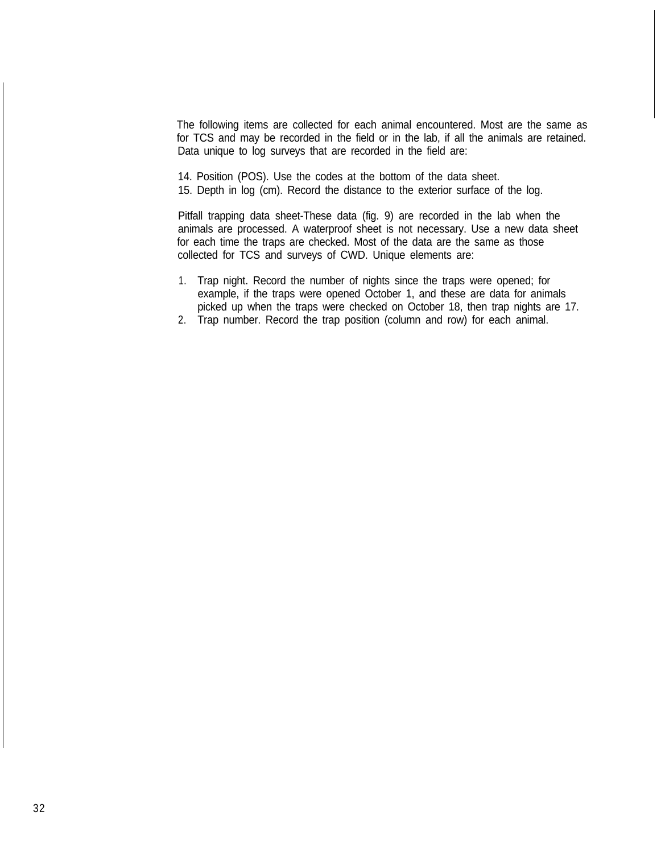The following items are collected for each animal encountered. Most are the same as for TCS and may be recorded in the field or in the lab, if all the animals are retained. Data unique to log surveys that are recorded in the field are:

14. Position (POS). Use the codes at the bottom of the data sheet.

15. Depth in log (cm). Record the distance to the exterior surface of the log.

Pitfall trapping data sheet-These data (fig. 9) are recorded in the lab when the animals are processed. A waterproof sheet is not necessary. Use a new data sheet for each time the traps are checked. Most of the data are the same as those collected for TCS and surveys of CWD. Unique elements are:

- 1. Trap night. Record the number of nights since the traps were opened; for example, if the traps were opened October 1, and these are data for animals picked up when the traps were checked on October 18, then trap nights are 17.
- 2. Trap number. Record the trap position (column and row) for each animal.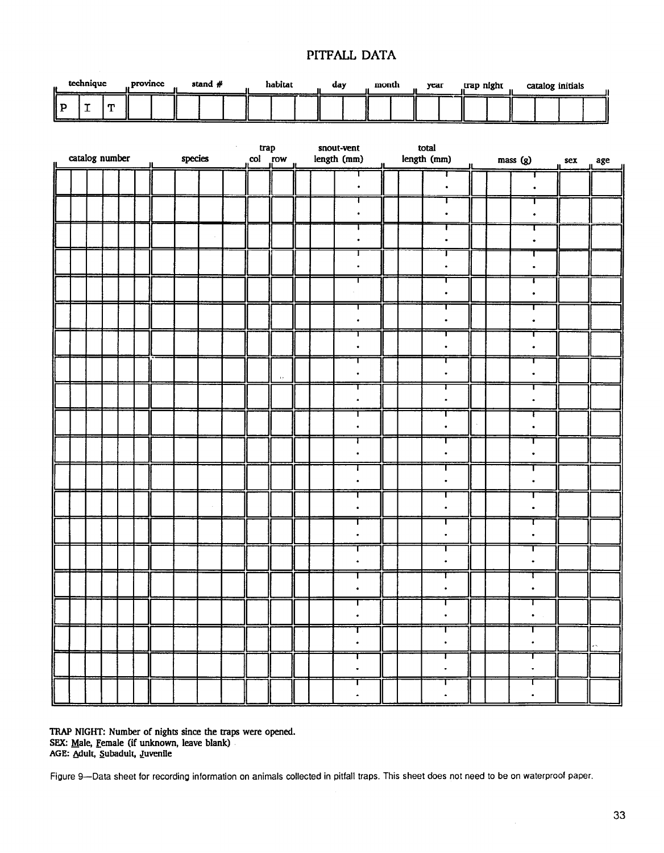## PITFALL DATA

|              | technique      |             | province |           | stand # |                                                                                                                    | habitat            |    | day                       | month | year                 |                 | trap night | JL.            |        | catalog initials | Л   |
|--------------|----------------|-------------|----------|-----------|---------|--------------------------------------------------------------------------------------------------------------------|--------------------|----|---------------------------|-------|----------------------|-----------------|------------|----------------|--------|------------------|-----|
| $\mathbf{P}$ | $\mathbf I$    | $\mathbf T$ |          |           |         |                                                                                                                    |                    |    |                           |       |                      |                 |            |                |        |                  |     |
|              | catalog number |             |          | $species$ |         | $\boldsymbol{\mathrm{trap}}$<br>$\begin{bmatrix} \text{col} & \text{row} \\ \text{low} & \text{low} \end{bmatrix}$ |                    | ĪĹ | snout-vent<br>length (mm) |       | total<br>length (mm) |                 | л          | mass (g)       |        | sex              | age |
|              |                |             |          |           |         |                                                                                                                    |                    |    | ٠                         |       |                      | $\bullet$       |            |                | т<br>٠ |                  |     |
|              |                |             |          |           |         |                                                                                                                    |                    |    | ٠                         |       |                      | ٠               |            |                |        |                  |     |
|              |                |             |          |           |         |                                                                                                                    |                    |    | ı                         |       |                      | ı               |            |                |        |                  |     |
|              |                |             |          |           |         |                                                                                                                    |                    |    | $\bullet$<br>п            |       |                      | ٠<br>Т          |            |                |        |                  |     |
|              |                |             |          |           |         |                                                                                                                    |                    |    |                           |       |                      | $\bullet$<br>Т  |            |                |        |                  |     |
|              |                |             |          |           |         |                                                                                                                    |                    |    |                           |       |                      | $\bullet$       |            |                |        |                  |     |
|              |                |             |          |           |         |                                                                                                                    |                    |    |                           |       |                      | J.<br>٠         |            | ٠              |        |                  |     |
|              |                |             |          |           |         |                                                                                                                    |                    |    | $\bullet$                 |       |                      | $\bullet$       |            | $\bullet$      |        |                  |     |
|              |                |             |          |           |         |                                                                                                                    |                    |    |                           |       |                      | Т               |            |                |        |                  |     |
|              |                |             |          |           |         |                                                                                                                    | $\epsilon_{\rm B}$ |    | $\bullet$                 |       |                      | $\bullet$<br>Т  |            | $\bullet$<br>L |        |                  |     |
|              |                |             |          |           |         |                                                                                                                    |                    |    | $\bullet$                 |       |                      | $\bullet$       |            | $\bullet$<br>Ŧ |        |                  |     |
|              |                |             |          |           |         |                                                                                                                    |                    |    | $\bullet$                 |       |                      | $\bullet$       | i,         | $\bullet$      |        |                  |     |
|              |                |             |          |           |         |                                                                                                                    |                    |    | $\bullet$                 |       |                      | $\bullet$       |            | н              |        |                  |     |
|              |                |             |          |           |         |                                                                                                                    |                    |    | $\bullet$                 |       |                      | $\bullet$       |            |                |        |                  |     |
|              |                |             |          |           |         |                                                                                                                    |                    |    |                           |       |                      |                 |            |                |        |                  |     |
|              |                |             |          |           |         |                                                                                                                    |                    |    |                           |       |                      | $\bullet$       |            |                |        |                  |     |
|              |                |             |          |           |         |                                                                                                                    |                    |    |                           |       |                      |                 |            |                |        |                  |     |
|              |                |             |          |           |         |                                                                                                                    |                    |    |                           |       |                      |                 |            |                |        |                  |     |
| Ιř<br>I      |                |             |          |           |         |                                                                                                                    |                    |    |                           |       |                      |                 |            |                |        |                  |     |
|              |                |             |          |           |         |                                                                                                                    |                    |    | $\bullet$                 |       |                      | L<br>$\bullet$  |            | ٠              |        |                  |     |
| ║            |                |             |          |           |         |                                                                                                                    |                    |    |                           |       |                      | J.              |            |                |        |                  |     |
|              |                |             |          |           |         |                                                                                                                    |                    |    | $\bullet$                 |       |                      | $\bullet$<br>J, |            | $\bullet$      |        |                  |     |
| l            |                |             |          |           |         |                                                                                                                    |                    |    | $\bullet$                 |       |                      | $\bullet$<br>Ţ  |            | ٠              |        |                  |     |
|              |                |             |          |           |         |                                                                                                                    |                    |    | $\bullet$                 |       |                      | $\bullet$       |            | ٠              |        |                  |     |

TRAP NIGHT: Number of nigh& since the traps were opened. SEX: <u>M</u>ale, <u>F</u>emale (if unknown, leave blank) AGE: <u>A</u>dult, <u>S</u>ubadult, <u>J</u>uvenile

Figure 9--Data sheet for recording information on animals collected in pitfall traps. This sheet does not need to be on waterproof paper.